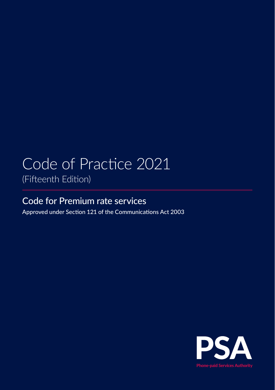# Code of Practice 2021 (Fifteenth Edition)

Code for Premium rate services

Approved under Section 121 of the Communications Act 2003

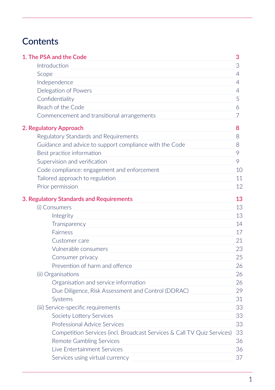# <span id="page-1-0"></span>**Contents**

| 1. The PSA and the Code                                                 | 3  |
|-------------------------------------------------------------------------|----|
| Introduction                                                            | 3  |
| Scope                                                                   | 4  |
| Independence                                                            | 4  |
| Delegation of Powers                                                    | 4  |
| Confidentiality                                                         | 5  |
| Reach of the Code                                                       | 6  |
| Commencement and transitional arrangements                              | 7  |
| 2. Regulatory Approach                                                  | 8  |
| Regulatory Standards and Requirements                                   | 8. |
| Guidance and advice to support compliance with the Code                 | 8  |
| Best practice information                                               | 9  |
| Supervision and verification                                            | 9  |
| Code compliance: engagement and enforcement                             | 10 |
| Tailored approach to regulation                                         | 11 |
| Prior permission                                                        | 12 |
| 3. Regulatory Standards and Requirements                                | 13 |
| (i) Consumers                                                           | 13 |
| Integrity                                                               | 13 |
| Transparency                                                            | 14 |
| <b>Fairness</b>                                                         | 17 |
| Customer care                                                           | 21 |
| Vulnerable consumers                                                    | 23 |
| Consumer privacy                                                        | 25 |
| Prevention of harm and offence                                          | 26 |
| (ii) Organisations                                                      | 26 |
| Organisation and service information                                    | 26 |
| Due Diligence, Risk Assessment and Control (DDRAC)                      | 29 |
| Systems                                                                 | 31 |
| (iii) Service-specific requirements                                     | 33 |
| Society Lottery Services                                                | 33 |
| Professional Advice Services                                            | 33 |
| Competition Services (incl. Broadcast Services & Call TV Quiz Services) | 33 |
| <b>Remote Gambling Services</b>                                         | 36 |
| Live Entertainment Services                                             | 36 |
| Services using virtual currency                                         | 37 |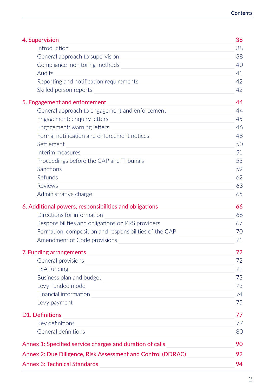| 4. Supervision                                              | 38 |
|-------------------------------------------------------------|----|
| Introduction                                                | 38 |
| General approach to supervision                             | 38 |
| Compliance monitoring methods                               | 40 |
| Audits                                                      | 41 |
| Reporting and notification requirements                     | 42 |
| Skilled person reports                                      | 42 |
| 5. Engagement and enforcement                               | 44 |
| General approach to engagement and enforcement              | 44 |
| Engagement: enquiry letters                                 | 45 |
| Engagement: warning letters                                 | 46 |
| Formal notification and enforcement notices                 | 48 |
| Settlement                                                  | 50 |
| Interim measures                                            | 51 |
| Proceedings before the CAP and Tribunals                    | 55 |
| Sanctions                                                   | 59 |
| Refunds                                                     | 62 |
| Reviews                                                     | 63 |
| Administrative charge                                       | 65 |
| 6. Additional powers, responsibilities and obligations      | 66 |
| Directions for information                                  | 66 |
| Responsibilities and obligations on PRS providers           | 67 |
| Formation, composition and responsibilities of the CAP      | 70 |
| Amendment of Code provisions                                | 71 |
| 7. Funding arrangements                                     | 72 |
| General provisions                                          | 72 |
| PSA funding                                                 | 72 |
| Business plan and budget                                    | 73 |
| Levy-funded model                                           | 73 |
| Financial information                                       | 74 |
| Levy payment                                                | 75 |
| D1. Definitions                                             | 77 |
| Key definitions                                             | 77 |
| General definitions                                         | 80 |
| Annex 1: Specified service charges and duration of calls    | 90 |
| Annex 2: Due Diligence, Risk Assessment and Control (DDRAC) | 92 |
| <b>Annex 3: Technical Standards</b>                         | 94 |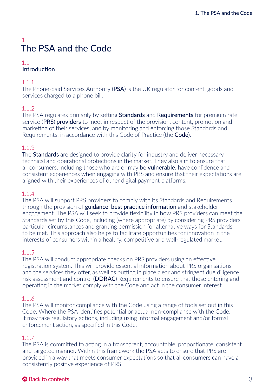## <span id="page-3-0"></span>1 The PSA and the Code

#### 1.1 Introduction

## 1.1.1

The Phone-paid Services Authority (PSA) is the UK regulator for content, goods and services charged to a phone bill.

## 1.1.2

The PSA regulates primarily by setting **Standards** and **Requirements** for premium rate service (PRS) providers to meet in respect of the provision, content, promotion and marketing of their services, and by monitoring and enforcing those Standards and Requirements, in accordance with this Code of Practice (the Code).

## 1.1.3

The **Standards** are designed to provide clarity for industry and deliver necessary technical and operational protections in the market. They also aim to ensure that all consumers, including those who are or may be **vulnerable**, have confidence and consistent experiences when engaging with PRS and ensure that their expectations are aligned with their experiences of other digital payment platforms.

## 1.1.4

The PSA will support PRS providers to comply with its Standards and Requirements through the provision of guidance, best practice information and stakeholder engagement. The PSA will seek to provide flexibility in how PRS providers can meet the Standards set by this Code, including (where appropriate) by considering PRS providers' particular circumstances and granting permission for alternative ways for Standards to be met. This approach also helps to facilitate opportunities for innovation in the interests of consumers within a healthy, competitive and well-regulated market.

## 1.1.5

The PSA will conduct appropriate checks on PRS providers using an effective registration system. This will provide essential information about PRS organisations and the services they offer, as well as putting in place clear and stringent due diligence, risk assessment and control (DDRAC) Requirements to ensure that those entering and operating in the market comply with the Code and act in the consumer interest.

## 1.1.6

The PSA will monitor compliance with the Code using a range of tools set out in this Code. Where the PSA identifies potential or actual non-compliance with the Code, it may take regulatory actions, including using informal engagement and/or formal enforcement action, as specified in this Code.

## 1.1.7

The PSA is committed to acting in a transparent, accountable, proportionate, consistent and targeted manner. Within this framework the PSA acts to ensure that PRS are provided in a way that meets consumer expectations so that all consumers can have a consistently positive experience of PRS.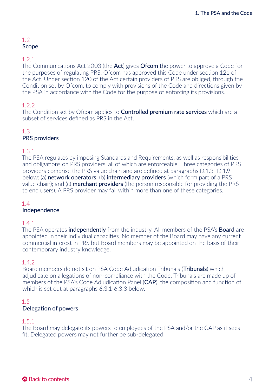## <span id="page-4-0"></span>1.2 Scope

#### 1.2.1

The Communications Act 2003 (the **Act**) gives **Ofcom** the power to approve a Code for the purposes of regulating PRS. Ofcom has approved this Code under section 121 of the Act. Under section 120 of the Act certain providers of PRS are obliged, through the Condition set by Ofcom, to comply with provisions of the Code and directions given by the PSA in accordance with the Code for the purpose of enforcing its provisions.

## 1.2.2

The Condition set by Ofcom applies to **Controlled premium rate services** which are a subset of services defined as PRS in the Act.

## 1.3

## PRS providers

## 1.3.1

The PSA regulates by imposing Standards and Requirements, as well as responsibilities and obligations on PRS providers, all of which are enforceable. Three categories of PRS providers comprise the PRS value chain and are defined at paragraphs D.1.3–D.1.9 below: (a) network operators; (b) intermediary providers (which form part of a PRS value chain); and (c) **merchant providers** (the person responsible for providing the PRS to end users). A PRS provider may fall within more than one of these categories.

## 1.4

## Independence

#### 1.4.1

The PSA operates **independently** from the industry. All members of the PSA's **Board** are appointed in their individual capacities. No member of the Board may have any current commercial interest in PRS but Board members may be appointed on the basis of their contemporary industry knowledge.

#### 1.4.2

Board members do not sit on PSA Code Adjudication Tribunals (Tribunals) which adjudicate on allegations of non-compliance with the Code. Tribunals are made up of members of the PSA's Code Adjudication Panel (CAP), the composition and function of which is set out at paragraphs 6.3.1-6.3.3 below.

#### 1.5 Delegation of powers

## 1.5.1

The Board may delegate its powers to employees of the PSA and/or the CAP as it sees fit. Delegated powers may not further be sub-delegated.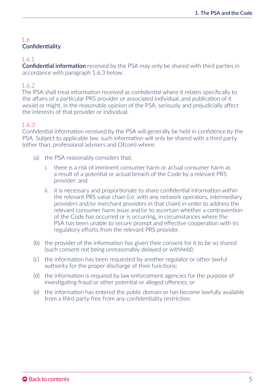## <span id="page-5-0"></span>1.6 **Confidentiality**

## 1.6.1

Confidential information received by the PSA may only be shared with third parties in accordance with paragraph 1.6.3 below.

## 1.6.2

The PSA shall treat information received as confidential where it relates specifically to the affairs of a particular PRS provider or associated individual, and publication of it would or might, in the reasonable opinion of the PSA, seriously and prejudicially affect the interests of that provider or individual.

## 1.6.3

Confidential information received by the PSA will generally be held in confidence by the PSA. Subject to applicable law, such information will only be shared with a third party (other than, professional advisers and Ofcom) where:

- (a) the PSA reasonably considers that:
	- i. there is a risk of imminent consumer harm or actual consumer harm as a result of a potential or actual breach of the Code by a relevant PRS provider; and
	- ii. it is necessary and proportionate to share confidential information within the relevant PRS value chain (i.e. with any network operators, intermediary providers and/or merchant providers in that chain) in order to address the relevant consumer harm issue and/or to ascertain whether a contravention of the Code has occurred or is occurring, in circumstances where the PSA has been unable to secure prompt and effective cooperation with its regulatory efforts from the relevant PRS provider.
- (b) the provider of the information has given their consent for it to be so shared (such consent not being unreasonably delayed or withheld);
- (c) the information has been requested by another regulator or other lawful authority for the proper discharge of their functions;
- (d) the information is required by law enforcement agencies for the purpose of investigating fraud or other potential or alleged offences; or
- (e) the information has entered the public domain or has become lawfully available from a third party free from any confidentiality restriction.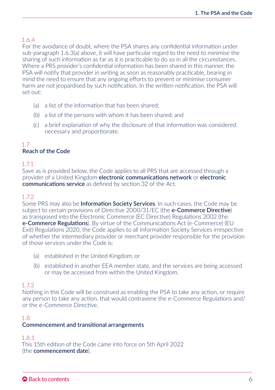## <span id="page-6-0"></span>1.6.4

For the avoidance of doubt, where the PSA shares any confidential information under sub-paragraph 1.6.3(a) above, it will have particular regard to the need to minimise the sharing of such information as far as it is practicable to do so in all the circumstances. Where a PRS provider's confidential information has been shared in this manner, the PSA will notify that provider in writing as soon as reasonably practicable, bearing in mind the need to ensure that any ongoing efforts to prevent or minimise consumer harm are not jeopardised by such notification. In the written notification, the PSA will set out:

- (a) a list of the information that has been shared;
- (b) a list of the persons with whom it has been shared; and
- (c) a brief explanation of why the disclosure of that information was considered necessary and proportionate.

#### 1.7 Reach of the Code

## 1.7.1

Save as is provided below, the Code applies to all PRS that are accessed through a provider of a United Kingdom electronic communications network or electronic communications service as defined by section 32 of the Act.

## 1.72

Some PRS may also be **Information Society Services**. In such cases, the Code may be subject to certain provisions of Directive 2000/31/FC (the **e-Commerce Directive**) as transposed into the Electronic Commerce (EC Directive) Regulations 2002 (the e-Commerce Regulations). By virtue of the Communications Act (e-Commerce) (EU Exit) Regulations 2020, the Code applies to all Information Society Services irrespective of whether the intermediary provider or merchant provider responsible for the provision of those services under the Code is:

- (a) established in the United Kingdom; or
- (b) established in another EEA member state, and the services are being accessed or may be accessed from within the United Kingdom.

## 1.7.3

Nothing in this Code will be construed as enabling the PSA to take any action, or require any person to take any action, that would contravene the e-Commerce Regulations and/ or the e-Commerce Directive.

## 1.8

## Commencement and transitional arrangements

#### 1.8.1

This 15th edition of the Code came into force on 5th April 2022 (the commencement date).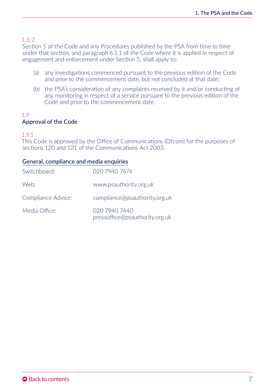<span id="page-7-0"></span>Section 5 of the Code and any Procedures published by the PSA from time to time under that section, and paragraph 6.1.1 of the Code where it is applied in respect of engagement and enforcement under Section 5, shall apply to:

- (a) any investigations commenced pursuant to the previous edition of the Code and prior to the commencement date, but not concluded at that date;
- (b) the PSA's consideration of any complaints received by it and/or conducting of any monitoring in respect of a service pursuant to the previous edition of the Code and prior to the commencement date.

#### 1.9 Approval of the Code

#### 1.9.1

This Code is approved by the Office of Communications (Ofcom) for the purposes of sections 120 and 121 of the Communications Act 2003.

#### General, compliance and media enquiries

| Switchboard:       | 020 7940 7474                                   |
|--------------------|-------------------------------------------------|
| Web:               | www.psauthority.org.uk                          |
| Compliance Advice: | compliance@psauthority.org.uk                   |
| Media Office:      | 020 7940 7440<br>pressoffice@psauthority.org.uk |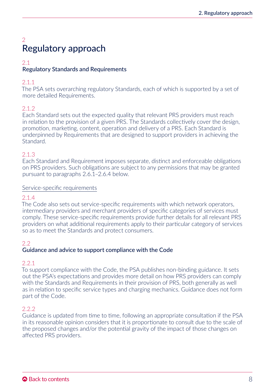## <span id="page-8-0"></span> $\overline{2}$ Regulatory approach

#### 2.1 Regulatory Standards and Requirements

## 2.1.1

The PSA sets overarching regulatory Standards, each of which is supported by a set of more detailed Requirements.

## 2.1.2

Each Standard sets out the expected quality that relevant PRS providers must reach in relation to the provision of a given PRS. The Standards collectively cover the design, promotion, marketing, content, operation and delivery of a PRS. Each Standard is underpinned by Requirements that are designed to support providers in achieving the Standard.

## 2.1.3

Each Standard and Requirement imposes separate, distinct and enforceable obligations on PRS providers. Such obligations are subject to any permissions that may be granted pursuant to paragraphs 2.6.1–2.6.4 below.

## Service-specific requirements

## 2.1.4

The Code also sets out service-specific requirements with which network operators, intermediary providers and merchant providers of specific categories of services must comply. These service-specific requirements provide further details for all relevant PRS providers on what additional requirements apply to their particular category of services so as to meet the Standards and protect consumers.

## $2.2$

## Guidance and advice to support compliance with the Code

#### 2.2.1

To support compliance with the Code, the PSA publishes non-binding guidance. It sets out the PSA's expectations and provides more detail on how PRS providers can comply with the Standards and Requirements in their provision of PRS, both generally as well as in relation to specific service types and charging mechanics. Guidance does not form part of the Code.

## $2.2.2$

Guidance is updated from time to time, following an appropriate consultation if the PSA in its reasonable opinion considers that it is proportionate to consult due to the scale of the proposed changes and/or the potential gravity of the impact of those changes on affected PRS providers.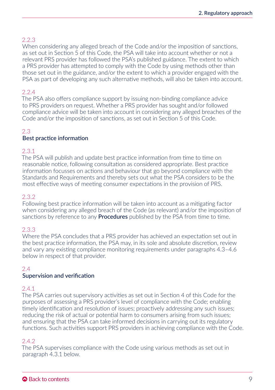## <span id="page-9-0"></span>2.2.3

When considering any alleged breach of the Code and/or the imposition of sanctions, as set out in Section 5 of this Code, the PSA will take into account whether or not a relevant PRS provider has followed the PSA's published guidance. The extent to which a PRS provider has attempted to comply with the Code by using methods other than those set out in the guidance, and/or the extent to which a provider engaged with the PSA as part of developing any such alternative methods, will also be taken into account.

## 2.2.4

The PSA also offers compliance support by issuing non-binding compliance advice to PRS providers on request. Whether a PRS provider has sought and/or followed compliance advice will be taken into account in considering any alleged breaches of the Code and/or the imposition of sanctions, as set out in Section 5 of this Code.

## 2.3

#### Best practice information

#### 2.3.1

The PSA will publish and update best practice information from time to time on reasonable notice, following consultation as considered appropriate. Best practice information focusses on actions and behaviour that go beyond compliance with the Standards and Requirements and thereby sets out what the PSA considers to be the most effective ways of meeting consumer expectations in the provision of PRS.

#### 2.3.2

Following best practice information will be taken into account as a mitigating factor when considering any alleged breach of the Code (as relevant) and/or the imposition of sanctions by reference to any **Procedures** published by the PSA from time to time.

## 2.3.3

Where the PSA concludes that a PRS provider has achieved an expectation set out in the best practice information, the PSA may, in its sole and absolute discretion, review and vary any existing compliance monitoring requirements under paragraphs 4.3–4.6 below in respect of that provider.

## 2.4

## Supervision and verification

#### 2.4.1

The PSA carries out supervisory activities as set out in Section 4 of this Code for the purposes of assessing a PRS provider's level of compliance with the Code; enabling timely identification and resolution of issues; proactively addressing any such issues; reducing the risk of actual or potential harm to consumers arising from such issues; and ensuring that the PSA can take informed decisions in carrying out its regulatory functions. Such activities support PRS providers in achieving compliance with the Code.

## 2.4.2

The PSA supervises compliance with the Code using various methods as set out in paragraph 4.3.1 below.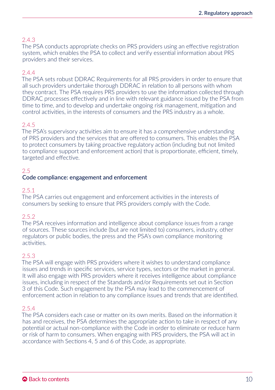## <span id="page-10-0"></span>2.4.3

The PSA conducts appropriate checks on PRS providers using an effective registration system, which enables the PSA to collect and verify essential information about PRS providers and their services.

## 2.4.4

The PSA sets robust DDRAC Requirements for all PRS providers in order to ensure that all such providers undertake thorough DDRAC in relation to all persons with whom they contract. The PSA requires PRS providers to use the information collected through DDRAC processes effectively and in line with relevant guidance issued by the PSA from time to time, and to develop and undertake ongoing risk management, mitigation and control activities, in the interests of consumers and the PRS industry as a whole.

## 2.4.5

The PSA's supervisory activities aim to ensure it has a comprehensive understanding of PRS providers and the services that are offered to consumers. This enables the PSA to protect consumers by taking proactive regulatory action (including but not limited to compliance support and enforcement action) that is proportionate, efficient, timely, targeted and effective.

## 2.5

## Code compliance: engagement and enforcement

#### 2.5.1

The PSA carries out engagement and enforcement activities in the interests of consumers by seeking to ensure that PRS providers comply with the Code.

#### 2.5.2

The PSA receives information and intelligence about compliance issues from a range of sources. These sources include (but are not limited to) consumers, industry, other regulators or public bodies, the press and the PSA's own compliance monitoring activities.

#### 2.5.3

The PSA will engage with PRS providers where it wishes to understand compliance issues and trends in specific services, service types, sectors or the market in general. It will also engage with PRS providers where it receives intelligence about compliance issues, including in respect of the Standards and/or Requirements set out in Section 3 of this Code. Such engagement by the PSA may lead to the commencement of enforcement action in relation to any compliance issues and trends that are identified.

#### 2.5.4

The PSA considers each case or matter on its own merits. Based on the information it has and receives, the PSA determines the appropriate action to take in respect of any potential or actual non-compliance with the Code in order to eliminate or reduce harm or risk of harm to consumers. When engaging with PRS providers, the PSA will act in accordance with Sections 4, 5 and 6 of this Code, as appropriate.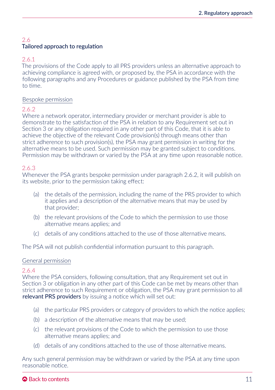## <span id="page-11-0"></span>2.6 Tailored approach to regulation

## 2.6.1

The provisions of the Code apply to all PRS providers unless an alternative approach to achieving compliance is agreed with, or proposed by, the PSA in accordance with the following paragraphs and any Procedures or guidance published by the PSA from time to time.

## Bespoke permission

## 2.6.2

Where a network operator, intermediary provider or merchant provider is able to demonstrate to the satisfaction of the PSA in relation to any Requirement set out in Section 3 or any obligation required in any other part of this Code, that it is able to achieve the objective of the relevant Code provision(s) through means other than strict adherence to such provision(s), the PSA may grant permission in writing for the alternative means to be used. Such permission may be granted subject to conditions. Permission may be withdrawn or varied by the PSA at any time upon reasonable notice.

## 2.6.3

Whenever the PSA grants bespoke permission under paragraph 2.6.2, it will publish on its website, prior to the permission taking effect:

- (a) the details of the permission, including the name of the PRS provider to which it applies and a description of the alternative means that may be used by that provider;
- (b) the relevant provisions of the Code to which the permission to use those alternative means applies; and
- (c) details of any conditions attached to the use of those alternative means.

The PSA will not publish confidential information pursuant to this paragraph.

#### General permission

#### 2.6.4

Where the PSA considers, following consultation, that any Requirement set out in Section 3 or obligation in any other part of this Code can be met by means other than strict adherence to such Requirement or obligation, the PSA may grant permission to all relevant PRS providers by issuing a notice which will set out:

- (a) the particular PRS providers or category of providers to which the notice applies;
- (b) a description of the alternative means that may be used;
- (c) the relevant provisions of the Code to which the permission to use those alternative means applies; and
- (d) details of any conditions attached to the use of those alternative means.

Any such general permission may be withdrawn or varied by the PSA at any time upon reasonable notice.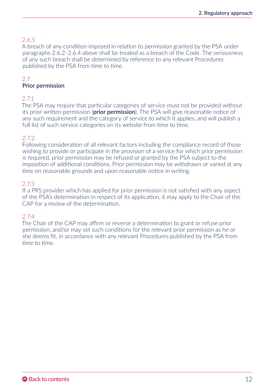## <span id="page-12-0"></span>2.6.5

A breach of any condition imposed in relation to permission granted by the PSA under paragraphs 2.6.2–2.6.4 above shall be treated as a breach of the Code. The seriousness of any such breach shall be determined by reference to any relevant Procedures published by the PSA from time to time.

## 2.7

## Prior permission

## 2.7.1

The PSA may require that particular categories of service must not be provided without its prior written permission (**prior permission**). The PSA will give reasonable notice of any such requirement and the category of service to which it applies, and will publish a full list of such service categories on its website from time to time.

## $272$

Following consideration of all relevant factors including the compliance record of those wishing to provide or participate in the provision of a service for which prior permission is required, prior permission may be refused or granted by the PSA subject to the imposition of additional conditions. Prior permission may be withdrawn or varied at any time on reasonable grounds and upon reasonable notice in writing.

## 2.7.3

If a PRS provider which has applied for prior permission is not satisfied with any aspect of the PSA's determination in respect of its application, it may apply to the Chair of the CAP for a review of the determination.

## 2.7.4

The Chair of the CAP may affirm or reverse a determination to grant or refuse prior permission, and/or may set such conditions for the relevant prior permission as he or she deems fit, in accordance with any relevant Procedures published by the PSA from time to time.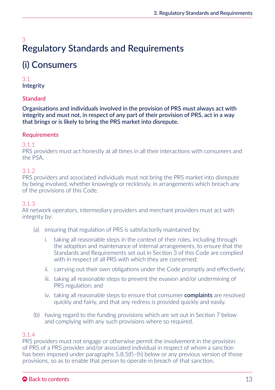## <span id="page-13-0"></span>3 Regulatory Standards and Requirements

# (i) Consumers

## 3.1 Integrity

## **Standard**

Organisations and individuals involved in the provision of PRS must always act with integrity and must not, in respect of any part of their provision of PRS, act in a way that brings or is likely to bring the PRS market into disrepute.

## **Requirements**

3.1.1

PRS providers must act honestly at all times in all their interactions with consumers and the PSA.

## 3.1.2

PRS providers and associated individuals must not bring the PRS market into disrepute by being involved, whether knowingly or recklessly, in arrangements which breach any of the provisions of this Code.

## 3.1.3

All network operators, intermediary providers and merchant providers must act with integrity by:

- (a) ensuring that regulation of PRS is satisfactorily maintained by:
	- i. taking all reasonable steps in the context of their roles, including through the adoption and maintenance of internal arrangements, to ensure that the Standards and Requirements set out in Section 3 of this Code are complied with in respect of all PRS with which they are concerned;
	- ii. carrying out their own obligations under the Code promptly and effectively;
	- iii. taking all reasonable steps to prevent the evasion and/or undermining of PRS regulation; and
	- iv. taking all reasonable steps to ensure that consumer **complaints** are resolved quickly and fairly, and that any redress is provided quickly and easily.
- (b) having regard to the funding provisions which are set out in Section 7 below and complying with any such provisions where so required.

## 3.1.4

PRS providers must not engage or otherwise permit the involvement in the provision of PRS of a PRS provider and/or associated individual in respect of whom a sanction has been imposed under paragraphs 5.8.5(f)–(h) below or any previous version of those provisions, so as to enable that person to operate in breach of that sanction.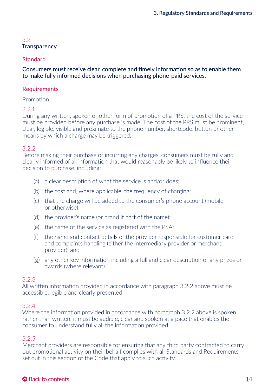## <span id="page-14-0"></span>3.2 **Transparency**

## Standard

Consumers must receive clear, complete and timely information so as to enable them to make fully informed decisions when purchasing phone-paid services.

## **Requirements**

#### Promotion

## 3.2.1

During any written, spoken or other form of promotion of a PRS, the cost of the service must be provided before any purchase is made. The cost of the PRS must be prominent, clear, legible, visible and proximate to the phone number, shortcode, button or other means by which a charge may be triggered.

#### 3.2.2

Before making their purchase or incurring any charges, consumers must be fully and clearly informed of all information that would reasonably be likely to influence their decision to purchase, including:

- (a) a clear description of what the service is and/or does;
- (b) the cost and, where applicable, the frequency of charging;
- (c) that the charge will be added to the consumer's phone account (mobile or otherwise);
- (d) the provider's name (or brand if part of the name);
- (e) the name of the service as registered with the PSA;
- (f) the name and contact details of the provider responsible for customer care and complaints handling (either the intermediary provider or merchant provider); and
- (g) any other key information including a full and clear description of any prizes or awards (where relevant).

#### 3.2.3

All written information provided in accordance with paragraph 3.2.2 above must be accessible, legible and clearly presented.

#### 3.2.4

Where the information provided in accordance with paragraph 3.2.2 above is spoken rather than written, it must be audible, clear and spoken at a pace that enables the consumer to understand fully all the information provided.

## 3.2.5

Merchant providers are responsible for ensuring that any third party contracted to carry out promotional activity on their behalf complies with all Standards and Requirements set out in this section of the Code that apply to such activity.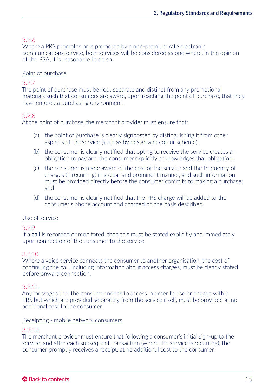## 3.2.6

Where a PRS promotes or is promoted by a non-premium rate electronic communications service, both services will be considered as one where, in the opinion of the PSA, it is reasonable to do so.

## Point of purchase

## 3.2.7

The point of purchase must be kept separate and distinct from any promotional materials such that consumers are aware, upon reaching the point of purchase, that they have entered a purchasing environment.

## 3.2.8

At the point of purchase, the merchant provider must ensure that:

- (a) the point of purchase is clearly signposted by distinguishing it from other aspects of the service (such as by design and colour scheme);
- (b) the consumer is clearly notified that opting to receive the service creates an obligation to pay and the consumer explicitly acknowledges that obligation;
- (c) the consumer is made aware of the cost of the service and the frequency of charges (if recurring) in a clear and prominent manner, and such information must be provided directly before the consumer commits to making a purchase; and
- (d) the consumer is clearly notified that the PRS charge will be added to the consumer's phone account and charged on the basis described.

#### Use of service

## 3.2.9

If a call is recorded or monitored, then this must be stated explicitly and immediately upon connection of the consumer to the service.

#### 3.2.10

Where a voice service connects the consumer to another organisation, the cost of continuing the call, including information about access charges, must be clearly stated before onward connection.

#### 3.2.11

Any messages that the consumer needs to access in order to use or engage with a PRS but which are provided separately from the service itself, must be provided at no additional cost to the consumer.

#### Receipting - mobile network consumers

#### 3.2.12

The merchant provider must ensure that following a consumer's initial sign-up to the service, and after each subsequent transaction (where the service is recurring), the consumer promptly receives a receipt, at no additional cost to the consumer.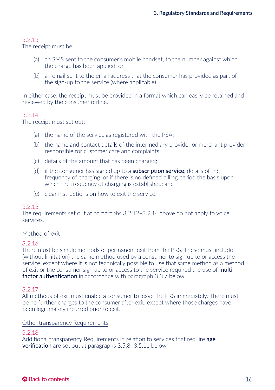## 3.2.13

The receipt must be:

- (a) an SMS sent to the consumer's mobile handset, to the number against which the charge has been applied; or
- (b) an email sent to the email address that the consumer has provided as part of the sign-up to the service (where applicable).

In either case, the receipt must be provided in a format which can easily be retained and reviewed by the consumer offline.

## 3.2.14

The receipt must set out:

- (a) the name of the service as registered with the PSA;
- (b) the name and contact details of the intermediary provider or merchant provider responsible for customer care and complaints;
- (c) details of the amount that has been charged;
- (d) if the consumer has signed up to a **subscription service**, details of the frequency of charging, or if there is no defined billing period the basis upon which the frequency of charging is established; and
- (e) clear instructions on how to exit the service.

#### 3.2.15

The requirements set out at paragraphs 3.2.12–3.2.14 above do not apply to voice services.

#### Method of exit

#### 3.2.16

There must be simple methods of permanent exit from the PRS. These must include (without limitation) the same method used by a consumer to sign up to or access the service, except where it is not technically possible to use that same method as a method of exit or the consumer sign up to or access to the service required the use of multifactor authentication in accordance with paragraph 3.3.7 below.

## 3.2.17

All methods of exit must enable a consumer to leave the PRS immediately. There must be no further charges to the consumer after exit, except where those charges have been legitimately incurred prior to exit.

#### Other transparency Requirements

## 3.2.18

Additional transparency Requirements in relation to services that require **age verification** are set out at paragraphs 3.5.8–3.5.11 below.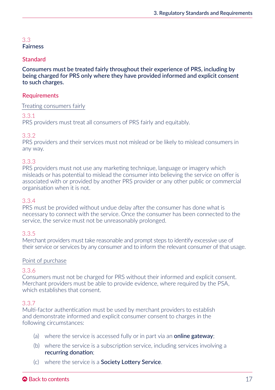#### <span id="page-17-0"></span>3.3 Fairness

## **Standard**

Consumers must be treated fairly throughout their experience of PRS, including by being charged for PRS only where they have provided informed and explicit consent to such charges.

## **Requirements**

#### Treating consumers fairly

## 3.3.1

PRS providers must treat all consumers of PRS fairly and equitably.

## 3.3.2

PRS providers and their services must not mislead or be likely to mislead consumers in any way.

## 3.3.3

PRS providers must not use any marketing technique, language or imagery which misleads or has potential to mislead the consumer into believing the service on offer is associated with or provided by another PRS provider or any other public or commercial organisation when it is not.

#### 3.3.4

PRS must be provided without undue delay after the consumer has done what is necessary to connect with the service. Once the consumer has been connected to the service, the service must not be unreasonably prolonged.

#### 3.3.5

Merchant providers must take reasonable and prompt steps to identify excessive use of their service or services by any consumer and to inform the relevant consumer of that usage.

#### Point of purchase

#### 3.3.6

Consumers must not be charged for PRS without their informed and explicit consent. Merchant providers must be able to provide evidence, where required by the PSA, which establishes that consent.

## 3.3.7

Multi-factor authentication must be used by merchant providers to establish and demonstrate informed and explicit consumer consent to charges in the following circumstances:

- (a) where the service is accessed fully or in part via an **online gateway**;
- (b) where the service is a subscription service, including services involving a recurring donation;
- (c) where the service is a Society Lottery Service.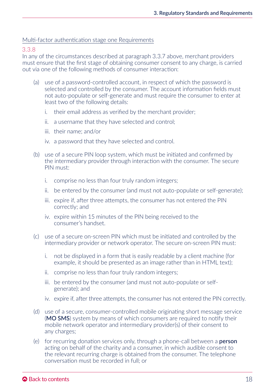#### Multi-factor authentication stage one Requirements

#### 3.3.8

In any of the circumstances described at paragraph 3.3.7 above, merchant providers must ensure that the first stage of obtaining consumer consent to any charge, is carried out via one of the following methods of consumer interaction:

- (a) use of a password-controlled account, in respect of which the password is selected and controlled by the consumer. The account information fields must not auto-populate or self-generate and must require the consumer to enter at least two of the following details:
	- i. their email address as verified by the merchant provider;
	- ii. a username that they have selected and control;
	- iii. their name; and/or
	- iv. a password that they have selected and control.
- (b) use of a secure PIN loop system, which must be initiated and confirmed by the intermediary provider through interaction with the consumer. The secure PIN must:
	- i. comprise no less than four truly random integers;
	- ii. be entered by the consumer (and must not auto-populate or self-generate);
	- iii. expire if, after three attempts, the consumer has not entered the PIN correctly; and
	- iv. expire within 15 minutes of the PIN being received to the consumer's handset.
- (c) use of a secure on-screen PIN which must be initiated and controlled by the intermediary provider or network operator. The secure on-screen PIN must:
	- i. not be displayed in a form that is easily readable by a client machine (for example, it should be presented as an image rather than in HTML text);
	- ii. comprise no less than four truly random integers;
	- iii. be entered by the consumer (and must not auto-populate or selfgenerate); and
	- iv. expire if, after three attempts, the consumer has not entered the PIN correctly.
- (d) use of a secure, consumer-controlled mobile originating short message service (MO SMS) system by means of which consumers are required to notify their mobile network operator and intermediary provider(s) of their consent to any charges;
- (e) for recurring donation services only, through a phone-call between a **person** acting on behalf of the charity and a consumer, in which audible consent to the relevant recurring charge is obtained from the consumer. The telephone conversation must be recorded in full; or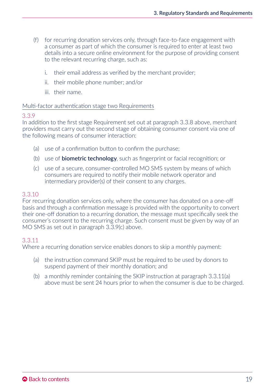- (f) for recurring donation services only, through face-to-face engagement with a consumer as part of which the consumer is required to enter at least two details into a secure online environment for the purpose of providing consent to the relevant recurring charge, such as:
	- i. their email address as verified by the merchant provider;
	- ii. their mobile phone number; and/or
	- iii. their name.

#### Multi-factor authentication stage two Requirements

#### 3.3.9

In addition to the first stage Requirement set out at paragraph 3.3.8 above, merchant providers must carry out the second stage of obtaining consumer consent via one of the following means of consumer interaction:

- (a) use of a confirmation button to confirm the purchase;
- (b) use of **biometric technology**, such as fingerprint or facial recognition; or
- (c) use of a secure, consumer-controlled MO SMS system by means of which consumers are required to notify their mobile network operator and intermediary provider(s) of their consent to any charges.

#### 3.3.10

For recurring donation services only, where the consumer has donated on a one-off basis and through a confirmation message is provided with the opportunity to convert their one-off donation to a recurring donation, the message must specifically seek the consumer's consent to the recurring charge. Such consent must be given by way of an MO SMS as set out in paragraph 3.3.9(c) above.

#### 3.3.11

Where a recurring donation service enables donors to skip a monthly payment:

- (a) the instruction command SKIP must be required to be used by donors to suspend payment of their monthly donation; and
- (b) a monthly reminder containing the SKIP instruction at paragraph 3.3.11(a) above must be sent 24 hours prior to when the consumer is due to be charged.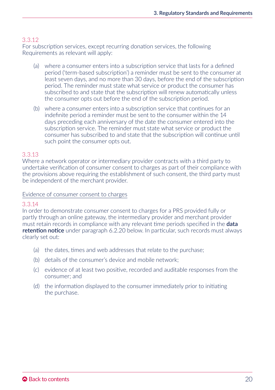## 3.3.12

For subscription services, except recurring donation services, the following Requirements as relevant will apply:

- (a) where a consumer enters into a subscription service that lasts for a defined period ('term-based subscription') a reminder must be sent to the consumer at least seven days, and no more than 30 days, before the end of the subscription period. The reminder must state what service or product the consumer has subscribed to and state that the subscription will renew automatically unless the consumer opts out before the end of the subscription period.
- (b) where a consumer enters into a subscription service that continues for an indefinite period a reminder must be sent to the consumer within the 14 days preceding each anniversary of the date the consumer entered into the subscription service. The reminder must state what service or product the consumer has subscribed to and state that the subscription will continue until such point the consumer opts out.

#### 3.3.13

Where a network operator or intermediary provider contracts with a third party to undertake verification of consumer consent to charges as part of their compliance with the provisions above requiring the establishment of such consent, the third party must be independent of the merchant provider.

#### Evidence of consumer consent to charges

#### 3.3.14

In order to demonstrate consumer consent to charges for a PRS provided fully or partly through an online gateway, the intermediary provider and merchant provider must retain records in compliance with any relevant time periods specified in the **data** retention notice under paragraph 6.2.20 below. In particular, such records must always clearly set out:

- (a) the dates, times and web addresses that relate to the purchase;
- (b) details of the consumer's device and mobile network;
- (c) evidence of at least two positive, recorded and auditable responses from the consumer; and
- (d) the information displayed to the consumer immediately prior to initiating the purchase.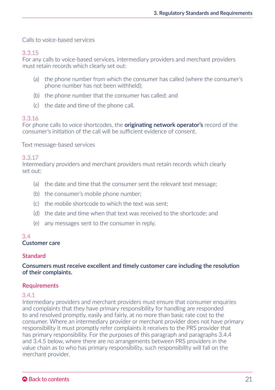<span id="page-21-0"></span>Calls to voice-based services

#### 3.3.15

For any calls to voice-based services, intermediary providers and merchant providers must retain records which clearly set out:

- (a) the phone number from which the consumer has called (where the consumer's phone number has not been withheld);
- (b) the phone number that the consumer has called; and
- (c) the date and time of the phone call.

## 3.3.16

For phone calls to voice shortcodes, the **originating network operator's** record of the consumer's initiation of the call will be sufficient evidence of consent.

Text message-based services

## 3.3.17

Intermediary providers and merchant providers must retain records which clearly set out:

- (a) the date and time that the consumer sent the relevant text message;
- (b) the consumer's mobile phone number;
- (c) the mobile shortcode to which the text was sent;
- (d) the date and time when that text was received to the shortcode; and
- (e) any messages sent to the consumer in reply.

#### 3.4 Customer care

#### **Standard**

#### Consumers must receive excellent and timely customer care including the resolution of their complaints.

#### **Requirements**

#### 3.4.1

Intermediary providers and merchant providers must ensure that consumer enquiries and complaints that they have primary responsibility for handling are responded to and resolved promptly, easily and fairly, at no more than basic rate cost to the consumer. Where an intermediary provider or merchant provider does not have primary responsibility it must promptly refer complaints it receives to the PRS provider that has primary responsibility. For the purposes of this paragraph and paragraphs 3.4.4 and 3.4.5 below, where there are no arrangements between PRS providers in the value chain as to who has primary responsibility, such responsibility will fall on the merchant provider.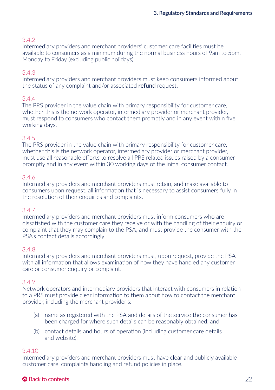## 3.4.2

Intermediary providers and merchant providers' customer care facilities must be available to consumers as a minimum during the normal business hours of 9am to 5pm, Monday to Friday (excluding public holidays).

## 3.4.3

Intermediary providers and merchant providers must keep consumers informed about the status of any complaint and/or associated **refund** request.

## 3.4.4

The PRS provider in the value chain with primary responsibility for customer care, whether this is the network operator, intermediary provider or merchant provider. must respond to consumers who contact them promptly and in any event within five working days.

## 3.4.5

The PRS provider in the value chain with primary responsibility for customer care, whether this is the network operator, intermediary provider or merchant provider, must use all reasonable efforts to resolve all PRS related issues raised by a consumer promptly and in any event within 30 working days of the initial consumer contact.

## 3.4.6

Intermediary providers and merchant providers must retain, and make available to consumers upon request, all information that is necessary to assist consumers fully in the resolution of their enquiries and complaints.

#### 3.4.7

Intermediary providers and merchant providers must inform consumers who are dissatisfied with the customer care they receive or with the handling of their enquiry or complaint that they may complain to the PSA, and must provide the consumer with the PSA's contact details accordingly.

#### 3.4.8

Intermediary providers and merchant providers must, upon request, provide the PSA with all information that allows examination of how they have handled any customer care or consumer enquiry or complaint.

#### 3.4.9

Network operators and intermediary providers that interact with consumers in relation to a PRS must provide clear information to them about how to contact the merchant provider, including the merchant provider's:

- (a) name as registered with the PSA and details of the service the consumer has been charged for where such details can be reasonably obtained; and
- (b) contact details and hours of operation (including customer care details and website).

#### 3.4.10

Intermediary providers and merchant providers must have clear and publicly available customer care, complaints handling and refund policies in place.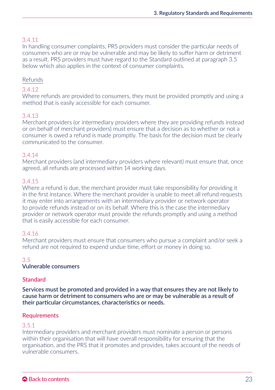## <span id="page-23-0"></span>3.4.11

In handling consumer complaints, PRS providers must consider the particular needs of consumers who are or may be vulnerable and may be likely to suffer harm or detriment as a result. PRS providers must have regard to the Standard outlined at paragraph 3.5 below which also applies in the context of consumer complaints.

## Refunds

## 3.4.12

Where refunds are provided to consumers, they must be provided promptly and using a method that is easily accessible for each consumer.

## 3.4.13

Merchant providers (or intermediary providers where they are providing refunds instead or on behalf of merchant providers) must ensure that a decision as to whether or not a consumer is owed a refund is made promptly. The basis for the decision must be clearly communicated to the consumer.

## 3.4.14

Merchant providers (and intermediary providers where relevant) must ensure that, once agreed, all refunds are processed within 14 working days.

## 3.4.15

Where a refund is due, the merchant provider must take responsibility for providing it in the first instance. Where the merchant provider is unable to meet all refund requests it may enter into arrangements with an intermediary provider or network operator to provide refunds instead or on its behalf. Where this is the case the intermediary provider or network operator must provide the refunds promptly and using a method that is easily accessible for each consumer.

## 3.4.16

Merchant providers must ensure that consumers who pursue a complaint and/or seek a refund are not required to expend undue time, effort or money in doing so.

#### 3.5

#### Vulnerable consumers

## **Standard**

Services must be promoted and provided in a way that ensures they are not likely to cause harm or detriment to consumers who are or may be vulnerable as a result of their particular circumstances, characteristics or needs.

## **Requirements**

## 3.5.1

Intermediary providers and merchant providers must nominate a person or persons within their organisation that will have overall responsibility for ensuring that the organisation, and the PRS that it promotes and provides, takes account of the needs of vulnerable consumers.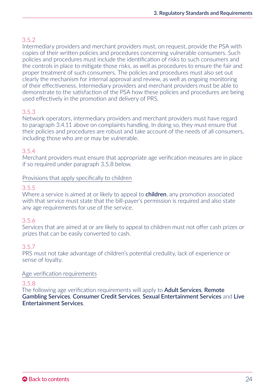## 3.5.2

Intermediary providers and merchant providers must, on request, provide the PSA with copies of their written policies and procedures concerning vulnerable consumers. Such policies and procedures must include the identification of risks to such consumers and the controls in place to mitigate those risks, as well as procedures to ensure the fair and proper treatment of such consumers. The policies and procedures must also set out clearly the mechanism for internal approval and review, as well as ongoing monitoring of their effectiveness. Intermediary providers and merchant providers must be able to demonstrate to the satisfaction of the PSA how these policies and procedures are being used effectively in the promotion and delivery of PRS.

## 3.5.3

Network operators, intermediary providers and merchant providers must have regard to paragraph 3.4.11 above on complaints handling. In doing so, they must ensure that their policies and procedures are robust and take account of the needs of all consumers, including those who are or may be vulnerable.

## 3.5.4

Merchant providers must ensure that appropriate age verification measures are in place if so required under paragraph 3.5.8 below.

#### Provisions that apply specifically to children

## 3.5.5

Where a service is aimed at or likely to appeal to **children**, any promotion associated with that service must state that the bill-payer's permission is required and also state any age requirements for use of the service.

## 3.5.6

Services that are aimed at or are likely to appeal to children must not offer cash prizes or prizes that can be easily converted to cash.

#### 3.5.7

PRS must not take advantage of children's potential credulity, lack of experience or sense of loyalty.

#### Age verification requirements

## 3.5.8

The following age verification requirements will apply to **Adult Services, Remote** Gambling Services, Consumer Credit Services, Sexual Entertainment Services and Live Entertainment Services.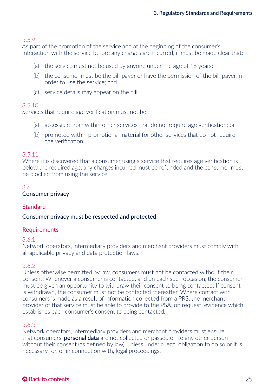## <span id="page-25-0"></span>3.5.9

As part of the promotion of the service and at the beginning of the consumer's interaction with the service before any charges are incurred, it must be made clear that:

- (a) the service must not be used by anyone under the age of 18 years;
- (b) the consumer must be the bill-payer or have the permission of the bill-payer in order to use the service; and
- (c) service details may appear on the bill.

#### 3.5.10

Services that require age verification must not be:

- (a) accessible from within other services that do not require age verification; or
- (b) promoted within promotional material for other services that do not require age verification.

#### 3.5.11

Where it is discovered that a consumer using a service that requires age verification is below the required age, any charges incurred must be refunded and the consumer must be blocked from using the service.

#### 3.6

#### Consumer privacy

#### **Standard**

#### Consumer privacy must be respected and protected.

#### **Requirements**

#### 3.6.1

Network operators, intermediary providers and merchant providers must comply with all applicable privacy and data protection laws.

#### 3.6.2

Unless otherwise permitted by law, consumers must not be contacted without their consent. Whenever a consumer is contacted, and on each such occasion, the consumer must be given an opportunity to withdraw their consent to being contacted. If consent is withdrawn, the consumer must not be contacted thereafter. Where contact with consumers is made as a result of information collected from a PRS, the merchant provider of that service must be able to provide to the PSA, on request, evidence which establishes each consumer's consent to being contacted.

## 3.6.3

Network operators, intermediary providers and merchant providers must ensure that consumers' **personal data** are not collected or passed on to any other person without their consent (as defined by law), unless under a legal obligation to do so or it is necessary for, or in connection with, legal proceedings.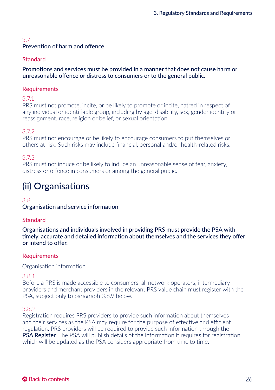## <span id="page-26-0"></span>3.7 Prevention of harm and offence

## **Standard**

Promotions and services must be provided in a manner that does not cause harm or unreasonable offence or distress to consumers or to the general public.

## **Requirements**

3.7.1

PRS must not promote, incite, or be likely to promote or incite, hatred in respect of any individual or identifiable group, including by age, disability, sex, gender identity or reassignment, race, religion or belief, or sexual orientation.

## 3.7.2

PRS must not encourage or be likely to encourage consumers to put themselves or others at risk. Such risks may include financial, personal and/or health-related risks.

## 3.7.3

PRS must not induce or be likely to induce an unreasonable sense of fear, anxiety, distress or offence in consumers or among the general public.

# (ii) Organisations

#### 3.8

Organisation and service information

## **Standard**

Organisations and individuals involved in providing PRS must provide the PSA with timely, accurate and detailed information about themselves and the services they offer or intend to offer.

## **Requirements**

#### Organisation information

## 3.8.1

Before a PRS is made accessible to consumers, all network operators, intermediary providers and merchant providers in the relevant PRS value chain must register with the PSA, subject only to paragraph 3.8.9 below.

## 3.8.2

Registration requires PRS providers to provide such information about themselves and their services as the PSA may require for the purpose of effective and efficient regulation. PRS providers will be required to provide such information through the PSA Register. The PSA will publish details of the information it requires for registration, which will be updated as the PSA considers appropriate from time to time.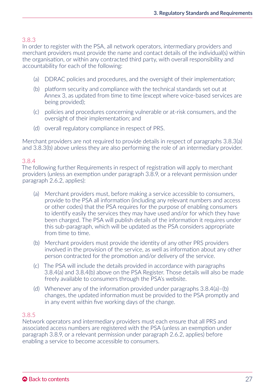In order to register with the PSA, all network operators, intermediary providers and merchant providers must provide the name and contact details of the individual(s) within the organisation, or within any contracted third party, with overall responsibility and accountability for each of the following:

- (a) DDRAC policies and procedures, and the oversight of their implementation;
- (b) platform security and compliance with the technical standards set out at Annex 3, as updated from time to time (except where voice-based services are being provided);
- (c) policies and procedures concerning vulnerable or at-risk consumers, and the oversight of their implementation; and
- (d) overall regulatory compliance in respect of PRS.

Merchant providers are not required to provide details in respect of paragraphs 3.8.3(a) and 3.8.3(b) above unless they are also performing the role of an intermediary provider.

## 3.8.4

The following further Requirements in respect of registration will apply to merchant providers (unless an exemption under paragraph 3.8.9, or a relevant permission under paragraph 2.6.2, applies):

- (a) Merchant providers must, before making a service accessible to consumers, provide to the PSA all information (including any relevant numbers and access or other codes) that the PSA requires for the purpose of enabling consumers to identify easily the services they may have used and/or for which they have been charged. The PSA will publish details of the information it requires under this sub-paragraph, which will be updated as the PSA considers appropriate from time to time.
- (b) Merchant providers must provide the identity of any other PRS providers involved in the provision of the service, as well as information about any other person contracted for the promotion and/or delivery of the service.
- (c) The PSA will include the details provided in accordance with paragraphs 3.8.4(a) and 3.8.4(b) above on the PSA Register. Those details will also be made freely available to consumers through the PSA's website.
- (d) Whenever any of the information provided under paragraphs  $3.8.4(a)$ –(b) changes, the updated information must be provided to the PSA promptly and in any event within five working days of the change.

## 3.8.5

Network operators and intermediary providers must each ensure that all PRS and associated access numbers are registered with the PSA (unless an exemption under paragraph 3.8.9, or a relevant permission under paragraph 2.6.2, applies) before enabling a service to become accessible to consumers.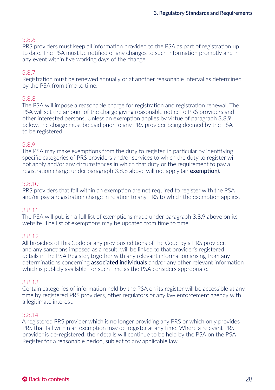PRS providers must keep all information provided to the PSA as part of registration up to date. The PSA must be notified of any changes to such information promptly and in any event within five working days of the change.

## 3.8.7

Registration must be renewed annually or at another reasonable interval as determined by the PSA from time to time.

## 3.8.8

The PSA will impose a reasonable charge for registration and registration renewal. The PSA will set the amount of the charge giving reasonable notice to PRS providers and other interested persons. Unless an exemption applies by virtue of paragraph 3.8.9 below, the charge must be paid prior to any PRS provider being deemed by the PSA to be registered.

## 3.8.9

The PSA may make exemptions from the duty to register, in particular by identifying specific categories of PRS providers and/or services to which the duty to register will not apply and/or any circumstances in which that duty or the requirement to pay a registration charge under paragraph 3.8.8 above will not apply (an exemption).

#### 3.8.10

PRS providers that fall within an exemption are not required to register with the PSA and/or pay a registration charge in relation to any PRS to which the exemption applies.

## 3.8.11

The PSA will publish a full list of exemptions made under paragraph 3.8.9 above on its website. The list of exemptions may be updated from time to time.

#### 3.8.12

All breaches of this Code or any previous editions of the Code by a PRS provider, and any sanctions imposed as a result, will be linked to that provider's registered details in the PSA Register, together with any relevant information arising from any determinations concerning **associated individuals** and/or any other relevant information which is publicly available, for such time as the PSA considers appropriate.

#### 3.8.13

Certain categories of information held by the PSA on its register will be accessible at any time by registered PRS providers, other regulators or any law enforcement agency with a legitimate interest.

#### 3.8.14

A registered PRS provider which is no longer providing any PRS or which only provides PRS that fall within an exemption may de-register at any time. Where a relevant PRS provider is de-registered, their details will continue to be held by the PSA on the PSA Register for a reasonable period, subject to any applicable law.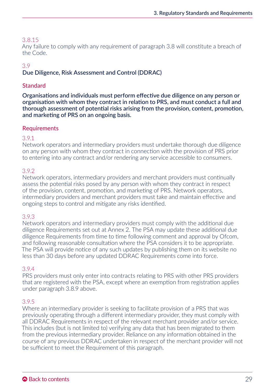<span id="page-29-0"></span>Any failure to comply with any requirement of paragraph 3.8 will constitute a breach of the Code.

## 3.9

## Due Diligence, Risk Assessment and Control (DDRAC)

## **Standard**

Organisations and individuals must perform effective due diligence on any person or organisation with whom they contract in relation to PRS, and must conduct a full and thorough assessment of potential risks arising from the provision, content, promotion, and marketing of PRS on an ongoing basis.

## **Requirements**

## 3.9.1

Network operators and intermediary providers must undertake thorough due diligence on any person with whom they contract in connection with the provision of PRS prior to entering into any contract and/or rendering any service accessible to consumers.

## 3.9.2

Network operators, intermediary providers and merchant providers must continually assess the potential risks posed by any person with whom they contract in respect of the provision, content, promotion, and marketing of PRS. Network operators, intermediary providers and merchant providers must take and maintain effective and ongoing steps to control and mitigate any risks identified.

#### 3.9.3

Network operators and intermediary providers must comply with the additional due diligence Requirements set out at Annex 2. The PSA may update these additional due diligence Requirements from time to time following comment and approval by Ofcom, and following reasonable consultation where the PSA considers it to be appropriate. The PSA will provide notice of any such updates by publishing them on its website no less than 30 days before any updated DDRAC Requirements come into force.

#### 3.9.4

PRS providers must only enter into contracts relating to PRS with other PRS providers that are registered with the PSA, except where an exemption from registration applies under paragraph 3.8.9 above.

## 3.9.5

Where an intermediary provider is seeking to facilitate provision of a PRS that was previously operating through a different intermediary provider, they must comply with all DDRAC Requirements in respect of the relevant merchant provider and/or service. This includes (but is not limited to) verifying any data that has been migrated to them from the previous intermediary provider. Reliance on any information obtained in the course of any previous DDRAC undertaken in respect of the merchant provider will not be sufficient to meet the Requirement of this paragraph.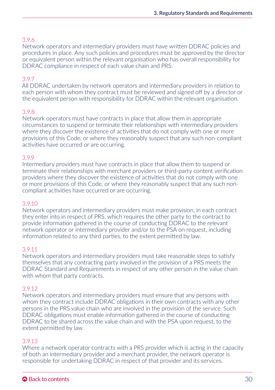## 3.9.6

Network operators and intermediary providers must have written DDRAC policies and procedures in place. Any such policies and procedures must be approved by the director or equivalent person within the relevant organisation who has overall responsibility for DDRAC compliance in respect of each value chain and PRS.

## 3.9.7

All DDRAC undertaken by network operators and intermediary providers in relation to each person with whom they contract must be reviewed and signed off by a director or the equivalent person with responsibility for DDRAC within the relevant organisation.

## 3.9.8

Network operators must have contracts in place that allow them in appropriate circumstances to suspend or terminate their relationships with intermediary providers where they discover the existence of activities that do not comply with one or more provisions of this Code, or where they reasonably suspect that any such non-compliant activities have occurred or are occurring.

#### 3.9.9

Intermediary providers must have contracts in place that allow them to suspend or terminate their relationships with merchant providers or third-party content verification providers where they discover the existence of activities that do not comply with one or more provisions of this Code, or where they reasonably suspect that any such noncompliant activities have occurred or are occurring.

#### 3.9.10

Network operators and intermediary providers must make provision, in each contract they enter into in respect of PRS, which requires the other party to the contract to provide information gathered in the course of conducting DDRAC to the relevant network operator or intermediary provider and/or to the PSA on request, including information related to any third parties, to the extent permitted by law.

#### 3.9.11

Network operators and intermediary providers must take reasonable steps to satisfy themselves that any contracting party involved in the provision of a PRS meets the DDRAC Standard and Requirements in respect of any other person in the value chain with whom that party contracts.

#### 3.9.12

Network operators and intermediary providers must ensure that any persons with whom they contract include DDRAC obligations in their own contracts with any other persons in the PRS value chain who are involved in the provision of the service. Such DDRAC obligations must enable information gathered in the course of conducting DDRAC to be shared across the value chain and with the PSA upon request, to the extent permitted by law.

#### 3.9.13

Where a network operator contracts with a PRS provider which is acting in the capacity of both an intermediary provider and a merchant provider, the network operator is responsible for undertaking DDRAC in respect of that provider and its services.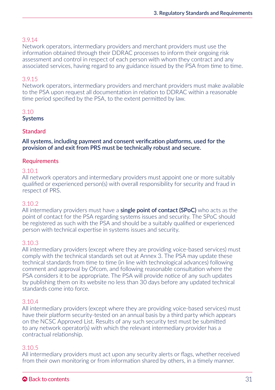## <span id="page-31-0"></span>3.9.14

Network operators, intermediary providers and merchant providers must use the information obtained through their DDRAC processes to inform their ongoing risk assessment and control in respect of each person with whom they contract and any associated services, having regard to any guidance issued by the PSA from time to time.

## 3.9.15

Network operators, intermediary providers and merchant providers must make available to the PSA upon request all documentation in relation to DDRAC within a reasonable time period specified by the PSA, to the extent permitted by law.

## 3.10

## **Systems**

## **Standard**

All systems, including payment and consent verification platforms, used for the provision of and exit from PRS must be technically robust and secure.

## **Requirements**

#### 3.10.1

All network operators and intermediary providers must appoint one or more suitably qualified or experienced person(s) with overall responsibility for security and fraud in respect of PRS.

#### 3.10.2

All intermediary providers must have a **single point of contact (SPoC)** who acts as the point of contact for the PSA regarding systems issues and security. The SPoC should be registered as such with the PSA and should be a suitably qualified or experienced person with technical expertise in systems issues and security.

#### 3.10.3

All intermediary providers (except where they are providing voice-based services) must comply with the technical standards set out at Annex 3. The PSA may update these technical standards from time to time (in line with technological advances) following comment and approval by Ofcom, and following reasonable consultation where the PSA considers it to be appropriate. The PSA will provide notice of any such updates by publishing them on its website no less than 30 days before any updated technical standards come into force.

#### 3.10.4

All intermediary providers (except where they are providing voice-based services) must have their platform security-tested on an annual basis by a third party which appears on the NCSC Approved List. Results of any such security test must be submitted to any network operator(s) with which the relevant intermediary provider has a contractual relationship.

## 3.10.5

All intermediary providers must act upon any security alerts or flags, whether received from their own monitoring or from information shared by others, in a timely manner.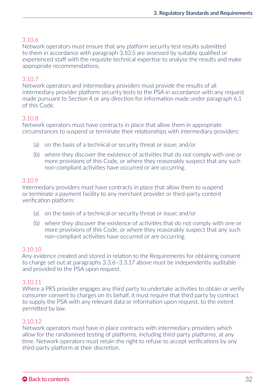## 3.10.6

Network operators must ensure that any platform security test results submitted to them in accordance with paragraph 3.10.5 are assessed by suitably qualified or experienced staff with the requisite technical expertise to analyse the results and make appropriate recommendations.

## 3.10.7

Network operators and intermediary providers must provide the results of all intermediary provider platform security tests to the PSA in accordance with any request made pursuant to Section 4 or any direction for information made under paragraph 6.1 of this Code.

## 3.10.8

Network operators must have contracts in place that allow them in appropriate circumstances to suspend or terminate their relationships with intermediary providers:

- (a) on the basis of a technical or security threat or issue; and/or
- (b) where they discover the existence of activities that do not comply with one or more provisions of this Code, or where they reasonably suspect that any such non-compliant activities have occurred or are occurring.

## 3.10.9

Intermediary providers must have contracts in place that allow them to suspend or terminate a payment facility to any merchant provider or third-party content verification platform:

- (a) on the basis of a technical or security threat or issue; and/or
- (b) where they discover the existence of activities that do not comply with one or more provisions of this Code, or where they reasonably suspect that any such non-compliant activities have occurred or are occurring.

#### 3.10.10

Any evidence created and stored in relation to the Requirements for obtaining consent to charge set out at paragraphs 3.3.6–3.3.17 above must be independently auditable and provided to the PSA upon request.

#### 3.10.11

Where a PRS provider engages any third party to undertake activities to obtain or verify consumer consent to charges on its behalf, it must require that third party by contract to supply the PSA with any relevant data or information upon request, to the extent permitted by law.

## 3.10.12

Network operators must have in place contracts with intermediary providers which allow for the randomised testing of platforms, including third-party platforms, at any time. Network operators must retain the right to refuse to accept verifications by any third-party platform at their discretion.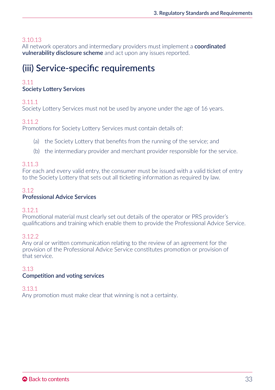## <span id="page-33-0"></span>3.10.13

All network operators and intermediary providers must implement a **coordinated** vulnerability disclosure scheme and act upon any issues reported.

## (iii) Service-specific requirements

## 3.11

## Society Lottery Services

## 3.11.1

Society Lottery Services must not be used by anyone under the age of 16 years.

## 3.11.2

Promotions for Society Lottery Services must contain details of:

- (a) the Society Lottery that benefits from the running of the service; and
- (b) the intermediary provider and merchant provider responsible for the service.

## 3.11.3

For each and every valid entry, the consumer must be issued with a valid ticket of entry to the Society Lottery that sets out all ticketing information as required by law.

#### 3.12 Professional Advice Services

## 3.12.1

Promotional material must clearly set out details of the operator or PRS provider's qualifications and training which enable them to provide the Professional Advice Service.

## 3.12.2

Any oral or written communication relating to the review of an agreement for the provision of the Professional Advice Service constitutes promotion or provision of that service.

## 3.13

#### Competition and voting services

#### 3.13.1

Any promotion must make clear that winning is not a certainty.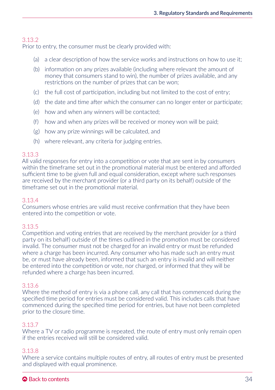## 3.13.2

Prior to entry, the consumer must be clearly provided with:

- (a) a clear description of how the service works and instructions on how to use it;
- (b) information on any prizes available (including where relevant the amount of money that consumers stand to win), the number of prizes available, and any restrictions on the number of prizes that can be won;
- (c) the full cost of participation, including but not limited to the cost of entry;
- (d) the date and time after which the consumer can no longer enter or participate;
- (e) how and when any winners will be contacted;
- (f) how and when any prizes will be received or money won will be paid;
- (g) how any prize winnings will be calculated, and
- (h) where relevant, any criteria for judging entries.

## 3.13.3

All valid responses for entry into a competition or vote that are sent in by consumers within the timeframe set out in the promotional material must be entered and afforded sufficient time to be given full and equal consideration, except where such responses are received by the merchant provider (or a third party on its behalf) outside of the timeframe set out in the promotional material.

## 3.13.4

Consumers whose entries are valid must receive confirmation that they have been entered into the competition or vote.

## 3.13.5

Competition and voting entries that are received by the merchant provider (or a third party on its behalf) outside of the times outlined in the promotion must be considered invalid. The consumer must not be charged for an invalid entry or must be refunded where a charge has been incurred. Any consumer who has made such an entry must be, or must have already been, informed that such an entry is invalid and will neither be entered into the competition or vote, nor charged, or informed that they will be refunded where a charge has been incurred.

## 3.13.6

Where the method of entry is via a phone call, any call that has commenced during the specified time period for entries must be considered valid. This includes calls that have commenced during the specified time period for entries, but have not been completed prior to the closure time.

## 3.13.7

Where a TV or radio programme is repeated, the route of entry must only remain open if the entries received will still be considered valid.

## 3.13.8

Where a service contains multiple routes of entry, all routes of entry must be presented and displayed with equal prominence.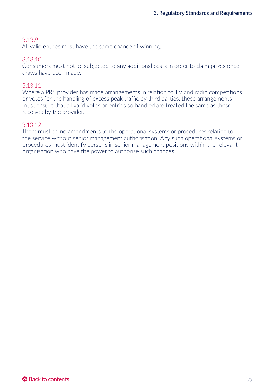## 3.13.9

All valid entries must have the same chance of winning.

## 3.13.10

Consumers must not be subjected to any additional costs in order to claim prizes once draws have been made.

## 3.13.11

Where a PRS provider has made arrangements in relation to TV and radio competitions or votes for the handling of excess peak traffic by third parties, these arrangements must ensure that all valid votes or entries so handled are treated the same as those received by the provider.

#### 3.13.12

There must be no amendments to the operational systems or procedures relating to the service without senior management authorisation. Any such operational systems or procedures must identify persons in senior management positions within the relevant organisation who have the power to authorise such changes.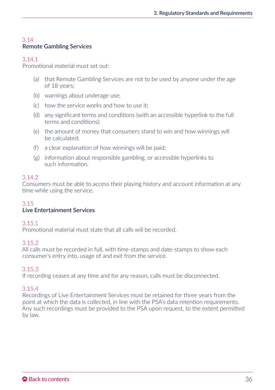## 3.14 Remote Gambling Services

#### 3.14.1

Promotional material must set out:

- (a) that Remote Gambling Services are not to be used by anyone under the age of 18 years;
- (b) warnings about underage use;
- (c) how the service works and how to use it;
- (d) any significant terms and conditions (with an accessible hyperlink to the full terms and conditions);
- (e) the amount of money that consumers stand to win and how winnings will be calculated;
- (f) a clear explanation of how winnings will be paid;
- (g) information about responsible gambling, or accessible hyperlinks to such information.

#### 3.14.2

Consumers must be able to access their playing history and account information at any time while using the service.

#### 3.15

## Live Entertainment Services

#### 3.15.1

Promotional material must state that all calls will be recorded.

#### 3.15.2

All calls must be recorded in full, with time-stamps and date-stamps to show each consumer's entry into, usage of and exit from the service.

#### 3.15.3

If recording ceases at any time and for any reason, calls must be disconnected.

#### 3.15.4

Recordings of Live Entertainment Services must be retained for three years from the point at which the data is collected, in line with the PSA's data retention requirements. Any such recordings must be provided to the PSA upon request, to the extent permitted by law.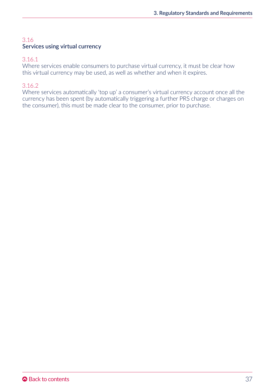## 3.16 Services using virtual currency

## 3.16.1

Where services enable consumers to purchase virtual currency, it must be clear how this virtual currency may be used, as well as whether and when it expires.

## 3.16.2

Where services automatically 'top up' a consumer's virtual currency account once all the currency has been spent (by automatically triggering a further PRS charge or charges on the consumer), this must be made clear to the consumer, prior to purchase.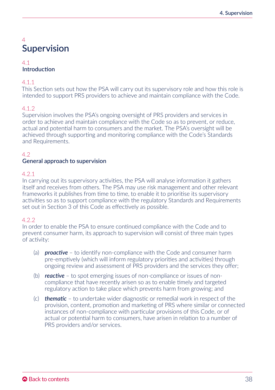# 4 Supervision

#### 4.1 Introduction

## 4.1.1

This Section sets out how the PSA will carry out its supervisory role and how this role is intended to support PRS providers to achieve and maintain compliance with the Code.

## 4.1.2

Supervision involves the PSA's ongoing oversight of PRS providers and services in order to achieve and maintain compliance with the Code so as to prevent, or reduce, actual and potential harm to consumers and the market. The PSA's oversight will be achieved through supporting and monitoring compliance with the Code's Standards and Requirements.

## 4.2

### General approach to supervision

#### 4.2.1

In carrying out its supervisory activities, the PSA will analyse information it gathers itself and receives from others. The PSA may use risk management and other relevant frameworks it publishes from time to time, to enable it to prioritise its supervisory activities so as to support compliance with the regulatory Standards and Requirements set out in Section 3 of this Code as effectively as possible.

#### 4.2.2

In order to enable the PSA to ensure continued compliance with the Code and to prevent consumer harm, its approach to supervision will consist of three main types of activity:

- (a) *proactive* to identify non-compliance with the Code and consumer harm pre-emptively (which will inform regulatory priorities and activities) through ongoing review and assessment of PRS providers and the services they offer;
- (b) *reactive* to spot emerging issues of non-compliance or issues of noncompliance that have recently arisen so as to enable timely and targeted regulatory action to take place which prevents harm from growing; and
- (c) *thematic* to undertake wider diagnostic or remedial work in respect of the provision, content, promotion and marketing of PRS where similar or connected instances of non-compliance with particular provisions of this Code, or of actual or potential harm to consumers, have arisen in relation to a number of PRS providers and/or services.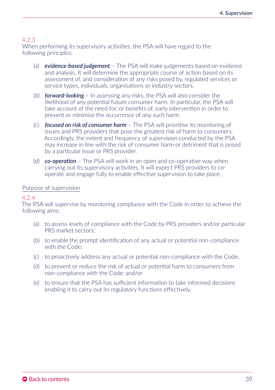When performing its supervisory activities, the PSA will have regard to the following principles:

- (a) *evidence-based judgement* The PSA will make judgements based on evidence and analysis. It will determine the appropriate course of action based on its assessment of, and consideration of any risks posed by, regulated services or service types, individuals, organisations or industry sectors.
- (b) *forward-looking* In assessing any risks, the PSA will also consider the likelihood of any potential future consumer harm. In particular, the PSA will take account of the need for, or benefits of, early intervention in order to prevent or minimise the occurrence of any such harm.
- (c) *focused on risk of consumer harm* The PSA will prioritise its monitoring of issues and PRS providers that pose the greatest risk of harm to consumers. Accordingly, the extent and frequency of supervision conducted by the PSA may increase in line with the risk of consumer harm or detriment that is posed by a particular issue or PRS provider.
- (d) *co-operation* The PSA will work in an open and co-operative way when carrying out its supervisory activities. It will expect PRS providers to cooperate and engage fully to enable effective supervision to take place.

#### Purpose of supervision

#### 4.2.4

The PSA will supervise by monitoring compliance with the Code in order to achieve the following aims:

- (a) to assess levels of compliance with the Code by PRS providers and/or particular PRS market sectors;
- (b) to enable the prompt identification of any actual or potential non-compliance with the Code;
- (c) to proactively address any actual or potential non-compliance with the Code;
- (d) to prevent or reduce the risk of actual or potential harm to consumers from non-compliance with the Code; and/or
- (e) to ensure that the PSA has sufficient information to take informed decisions enabling it to carry out its regulatory functions effectively.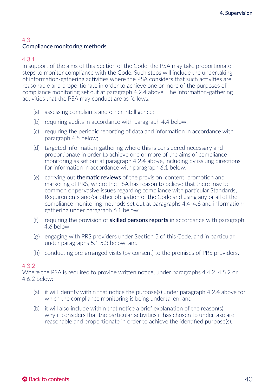## 4.3 Compliance monitoring methods

### 4.3.1

In support of the aims of this Section of the Code, the PSA may take proportionate steps to monitor compliance with the Code. Such steps will include the undertaking of information-gathering activities where the PSA considers that such activities are reasonable and proportionate in order to achieve one or more of the purposes of compliance monitoring set out at paragraph 4.2.4 above. The information-gathering activities that the PSA may conduct are as follows:

- (a) assessing complaints and other intelligence;
- (b) requiring audits in accordance with paragraph 4.4 below;
- (c) requiring the periodic reporting of data and information in accordance with paragraph 4.5 below;
- (d) targeted information-gathering where this is considered necessary and proportionate in order to achieve one or more of the aims of compliance monitoring as set out at paragraph 4.2.4 above, including by issuing directions for information in accordance with paragraph 6.1 below;
- (e) carrying out thematic reviews of the provision, content, promotion and marketing of PRS, where the PSA has reason to believe that there may be common or pervasive issues regarding compliance with particular Standards, Requirements and/or other obligation of the Code and using any or all of the compliance monitoring methods set out at paragraphs 4.4-4.6 and informationgathering under paragraph 6.1 below;
- (f) requiring the provision of skilled persons reports in accordance with paragraph 4.6 below;
- (g) engaging with PRS providers under Section 5 of this Code, and in particular under paragraphs 5.1-5.3 below; and
- (h) conducting pre-arranged visits (by consent) to the premises of PRS providers.

#### 4.3.2

Where the PSA is required to provide written notice, under paragraphs 4.4.2, 4.5.2 or 4.6.2 below:

- (a) it will identify within that notice the purpose(s) under paragraph 4.2.4 above for which the compliance monitoring is being undertaken; and
- (b) it will also include within that notice a brief explanation of the reason(s) why it considers that the particular activities it has chosen to undertake are reasonable and proportionate in order to achieve the identified purpose(s).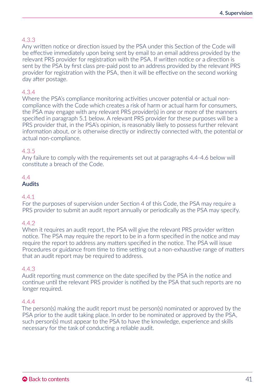## 4.3.3

Any written notice or direction issued by the PSA under this Section of the Code will be effective immediately upon being sent by email to an email address provided by the relevant PRS provider for registration with the PSA. If written notice or a direction is sent by the PSA by first class pre-paid post to an address provided by the relevant PRS provider for registration with the PSA, then it will be effective on the second working day after postage.

### 4.3.4

Where the PSA's compliance monitoring activities uncover potential or actual noncompliance with the Code which creates a risk of harm or actual harm for consumers, the PSA may engage with any relevant PRS provider(s) in one or more of the manners specified in paragraph 5.1 below. A relevant PRS provider for these purposes will be a PRS provider that, in the PSA's opinion, is reasonably likely to possess further relevant information about, or is otherwise directly or indirectly connected with, the potential or actual non-compliance.

#### 4.3.5

Any failure to comply with the requirements set out at paragraphs 4.4-4.6 below will constitute a breach of the Code.

## $A$

## Audits

#### 4.4.1

For the purposes of supervision under Section 4 of this Code, the PSA may require a PRS provider to submit an audit report annually or periodically as the PSA may specify.

#### 4.4.2

When it requires an audit report, the PSA will give the relevant PRS provider written notice. The PSA may require the report to be in a form specified in the notice and may require the report to address any matters specified in the notice. The PSA will issue Procedures or guidance from time to time setting out a non-exhaustive range of matters that an audit report may be required to address.

#### 4.4.3

Audit reporting must commence on the date specified by the PSA in the notice and continue until the relevant PRS provider is notified by the PSA that such reports are no longer required.

#### 4.4.4

The person(s) making the audit report must be person(s) nominated or approved by the PSA prior to the audit taking place. In order to be nominated or approved by the PSA, such person(s) must appear to the PSA to have the knowledge, experience and skills necessary for the task of conducting a reliable audit.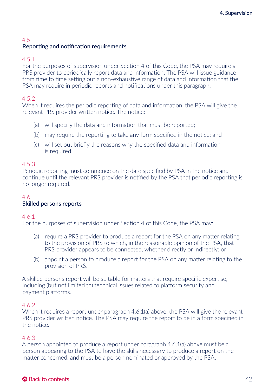## 4.5 Reporting and notification requirements

### 4.5.1

For the purposes of supervision under Section 4 of this Code, the PSA may require a PRS provider to periodically report data and information. The PSA will issue guidance from time to time setting out a non-exhaustive range of data and information that the PSA may require in periodic reports and notifications under this paragraph.

## 4.5.2

When it requires the periodic reporting of data and information, the PSA will give the relevant PRS provider written notice. The notice:

- (a) will specify the data and information that must be reported;
- (b) may require the reporting to take any form specified in the notice; and
- (c) will set out briefly the reasons why the specified data and information is required.

### 4.5.3

Periodic reporting must commence on the date specified by PSA in the notice and continue until the relevant PRS provider is notified by the PSA that periodic reporting is no longer required.

## 4.6

#### Skilled persons reports

#### 4.6.1

For the purposes of supervision under Section 4 of this Code, the PSA may:

- (a) require a PRS provider to produce a report for the PSA on any matter relating to the provision of PRS to which, in the reasonable opinion of the PSA, that PRS provider appears to be connected, whether directly or indirectly; or
- (b) appoint a person to produce a report for the PSA on any matter relating to the provision of PRS.

A skilled persons report will be suitable for matters that require specific expertise, including (but not limited to) technical issues related to platform security and payment platforms.

#### 4.6.2

When it requires a report under paragraph 4.6.1(a) above, the PSA will give the relevant PRS provider written notice. The PSA may require the report to be in a form specified in the notice.

## 4.6.3

A person appointed to produce a report under paragraph  $4.6.1(a)$  above must be a person appearing to the PSA to have the skills necessary to produce a report on the matter concerned, and must be a person nominated or approved by the PSA.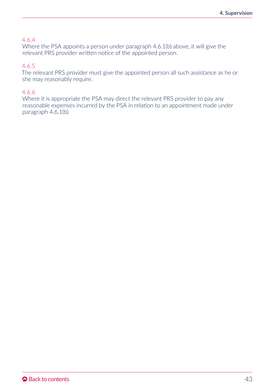#### 4.6.4

Where the PSA appoints a person under paragraph 4.6.1(b) above, it will give the relevant PRS provider written notice of the appointed person.

#### 4.6.5

The relevant PRS provider must give the appointed person all such assistance as he or she may reasonably require.

### 4.6.6

Where it is appropriate the PSA may direct the relevant PRS provider to pay any reasonable expenses incurred by the PSA in relation to an appointment made under paragraph 4.6.1(b).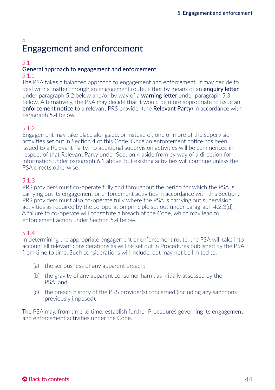# 5 Engagement and enforcement

## 5.1

# General approach to engagement and enforcement

### 5.1.1

The PSA takes a balanced approach to engagement and enforcement. It may decide to deal with a matter through an engagement route, either by means of an **enquiry letter** under paragraph 5.2 below and/or by way of a **warning letter** under paragraph 5.3 below. Alternatively, the PSA may decide that it would be more appropriate to issue an enforcement notice to a relevant PRS provider (the Relevant Party) in accordance with paragraph 5.4 below.

## 5.1.2

Engagement may take place alongside, or instead of, one or more of the supervision activities set out in Section 4 of this Code. Once an enforcement notice has been issued to a Relevant Party, no additional supervision activities will be commenced in respect of that Relevant Party under Section 4 aside from by way of a direction for information under paragraph 6.1 above, but existing activities will continue unless the PSA directs otherwise.

## 5.1.3

PRS providers must co-operate fully and throughout the period for which the PSA is carrying out its engagement or enforcement activities in accordance with this Section. PRS providers must also co-operate fully where the PSA is carrying out supervision activities as required by the co-operation principle set out under paragraph 4.2.3(d). A failure to co-operate will constitute a breach of the Code, which may lead to enforcement action under Section 5.4 below.

## 5.1.4

In determining the appropriate engagement or enforcement route, the PSA will take into account all relevant considerations as will be set out in Procedures published by the PSA from time to time. Such considerations will include, but may not be limited to:

- (a) the seriousness of any apparent breach;
- (b) the gravity of any apparent consumer harm, as initially assessed by the PSA; and
- (c) the breach history of the PRS provider(s) concerned (including any sanctions previously imposed).

The PSA may, from time to time, establish further Procedures governing its engagement and enforcement activities under the Code.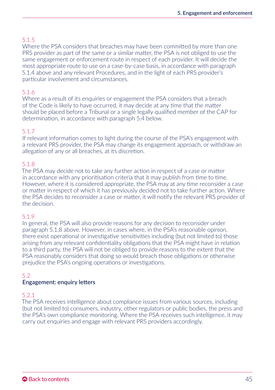## 5.1.5

Where the PSA considers that breaches may have been committed by more than one PRS provider as part of the same or a similar matter, the PSA is not obliged to use the same engagement or enforcement route in respect of each provider. It will decide the most appropriate route to use on a case-by-case basis, in accordance with paragraph 5.1.4 above and any relevant Procedures, and in the light of each PRS provider's particular involvement and circumstances.

## 5.1.6

Where as a result of its enquiries or engagement the PSA considers that a breach of the Code is likely to have occurred, it may decide at any time that the matter should be placed before a Tribunal or a single legally qualified member of the CAP for determination, in accordance with paragraph 5.4 below.

### 5.1.7

If relevant information comes to light during the course of the PSA's engagement with a relevant PRS provider, the PSA may change its engagement approach, or withdraw an allegation of any or all breaches, at its discretion.

### 5.1.8

The PSA may decide not to take any further action in respect of a case or matter in accordance with any prioritisation criteria that it may publish from time to time. However, where it is considered appropriate, the PSA may at any time reconsider a case or matter in respect of which it has previously decided not to take further action. Where the PSA decides to reconsider a case or matter, it will notify the relevant PRS provider of the decision.

#### 5.1.9

In general, the PSA will also provide reasons for any decision to reconsider under paragraph 5.1.8 above. However, in cases where, in the PSA's reasonable opinion, there exist operational or investigative sensitivities including (but not limited to) those arising from any relevant confidentiality obligations that the PSA might have in relation to a third party, the PSA will not be obliged to provide reasons to the extent that the PSA reasonably considers that doing so would breach those obligations or otherwise prejudice the PSA's ongoing operations or investigations.

## 5.2

#### Engagement: enquiry letters

#### 5.2.1

The PSA receives intelligence about compliance issues from various sources, including (but not limited to) consumers, industry, other regulators or public bodies, the press and the PSA's own compliance monitoring. Where the PSA receives such intelligence, it may carry out enquiries and engage with relevant PRS providers accordingly.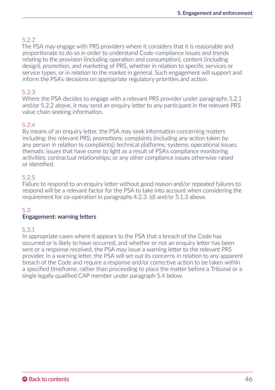## 522

The PSA may engage with PRS providers where it considers that it is reasonable and proportionate to do so in order to understand Code-compliance issues and trends relating to the provision (including operation and consumption), content (including design), promotion, and marketing of PRS, whether in relation to specific services or service types, or in relation to the market in general. Such engagement will support and inform the PSA's decisions on appropriate regulatory priorities and action.

## 5.2.3

Where the PSA decides to engage with a relevant PRS provider under paragraphs 5.2.1 and/or 5.2.2 above, it may send an enquiry letter to any participant in the relevant PRS value chain seeking information.

## 5.2.4

By means of an enquiry letter, the PSA may seek information concerning matters including: the relevant PRS; promotions; complaints (including any action taken by any person in relation to complaints); technical platforms; systems; operational issues; thematic issues that have come to light as a result of PSA's compliance monitoring activities; contractual relationships; or any other compliance issues otherwise raised or identified.

#### 5.2.5

Failure to respond to an enquiry letter without good reason and/or repeated failures to respond will be a relevant factor for the PSA to take into account when considering the requirement for co-operation in paragraphs 4.2.3. (d) and/or 5.1.3 above.

## 5.3

#### Engagement: warning letters

#### 5.3.1

In appropriate cases where it appears to the PSA that a breach of the Code has occurred or is likely to have occurred, and whether or not an enquiry letter has been sent or a response received, the PSA may issue a warning letter to the relevant PRS provider. In a warning letter, the PSA will set out its concerns in relation to any apparent breach of the Code and require a response and/or corrective action to be taken within a specified timeframe, rather than proceeding to place the matter before a Tribunal or a single legally qualified CAP member under paragraph 5.4 below.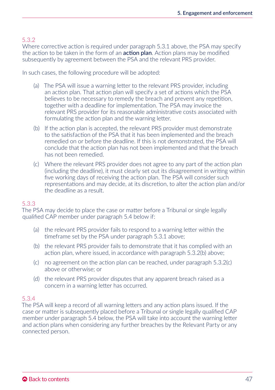## 5.3.2

Where corrective action is required under paragraph 5.3.1 above, the PSA may specify the action to be taken in the form of an **action plan**. Action plans may be modified subsequently by agreement between the PSA and the relevant PRS provider.

In such cases, the following procedure will be adopted:

- (a) The PSA will issue a warning letter to the relevant PRS provider, including an action plan. That action plan will specify a set of actions which the PSA believes to be necessary to remedy the breach and prevent any repetition, together with a deadline for implementation. The PSA may invoice the relevant PRS provider for its reasonable administrative costs associated with formulating the action plan and the warning letter.
- (b) If the action plan is accepted, the relevant PRS provider must demonstrate to the satisfaction of the PSA that it has been implemented and the breach remedied on or before the deadline. If this is not demonstrated, the PSA will conclude that the action plan has not been implemented and that the breach has not been remedied.
- (c) Where the relevant PRS provider does not agree to any part of the action plan (including the deadline), it must clearly set out its disagreement in writing within five working days of receiving the action plan. The PSA will consider such representations and may decide, at its discretion, to alter the action plan and/or the deadline as a result.

## 5.3.3

The PSA may decide to place the case or matter before a Tribunal or single legally qualified CAP member under paragraph 5.4 below if:

- (a) the relevant PRS provider fails to respond to a warning letter within the timeframe set by the PSA under paragraph 5.3.1 above;
- (b) the relevant PRS provider fails to demonstrate that it has complied with an action plan, where issued, in accordance with paragraph 5.3.2(b) above;
- (c) no agreement on the action plan can be reached, under paragraph 5.3.2(c) above or otherwise; or
- (d) the relevant PRS provider disputes that any apparent breach raised as a concern in a warning letter has occurred.

#### 5.3.4

The PSA will keep a record of all warning letters and any action plans issued. If the case or matter is subsequently placed before a Tribunal or single legally qualified CAP member under paragraph 5.4 below, the PSA will take into account the warning letter and action plans when considering any further breaches by the Relevant Party or any connected person.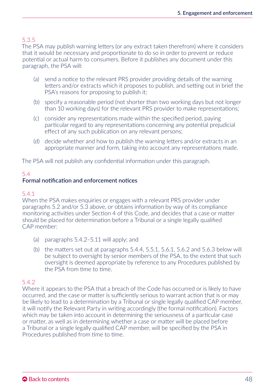## 5.3.5

The PSA may publish warning letters (or any extract taken therefrom) where it considers that it would be necessary and proportionate to do so in order to prevent or reduce potential or actual harm to consumers. Before it publishes any document under this paragraph, the PSA will:

- (a) send a notice to the relevant PRS provider providing details of the warning letters and/or extracts which it proposes to publish, and setting out in brief the PSA's reasons for proposing to publish it;
- (b) specify a reasonable period (not shorter than two working days but not longer than 10 working days) for the relevant PRS provider to make representations;
- (c) consider any representations made within the specified period, paying particular regard to any representations concerning any potential prejudicial effect of any such publication on any relevant persons;
- (d) decide whether and how to publish the warning letters and/or extracts in an appropriate manner and form, taking into account any representations made.

The PSA will not publish any confidential information under this paragraph.

## 5.4 Formal notification and enforcement notices

## 5.4.1

When the PSA makes enquiries or engages with a relevant PRS provider under paragraphs 5.2 and/or 5.3 above, or obtains information by way of its compliance monitoring activities under Section 4 of this Code, and decides that a case or matter should be placed for determination before a Tribunal or a single legally qualified CAP member:

- (a) paragraphs 5.4.2–5.11 will apply; and
- (b) the matters set out at paragraphs 5.4.4, 5.5.1, 5.6.1, 5.6.2 and 5.6.3 below will be subject to oversight by senior members of the PSA, to the extent that such oversight is deemed appropriate by reference to any Procedures published by the PSA from time to time.

## 5.4.2

Where it appears to the PSA that a breach of the Code has occurred or is likely to have occurred, and the case or matter is sufficiently serious to warrant action that is or may be likely to lead to a determination by a Tribunal or single legally qualified CAP member, it will notify the Relevant Party in writing accordingly (the formal notification). Factors which may be taken into account in determining the seriousness of a particular case or matter, as well as in determining whether a case or matter will be placed before a Tribunal or a single legally qualified CAP member, will be specified by the PSA in Procedures published from time to time.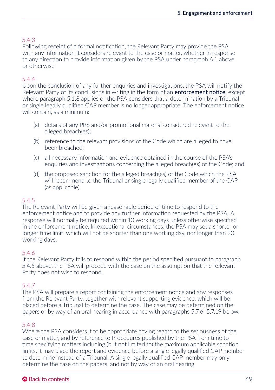## 5.4.3

Following receipt of a formal notification, the Relevant Party may provide the PSA with any information it considers relevant to the case or matter, whether in response to any direction to provide information given by the PSA under paragraph 6.1 above or otherwise.

## 5.4.4

Upon the conclusion of any further enquiries and investigations, the PSA will notify the Relevant Party of its conclusions in writing in the form of an **enforcement notice**, except where paragraph 5.1.8 applies or the PSA considers that a determination by a Tribunal or single legally qualified CAP member is no longer appropriate. The enforcement notice will contain, as a minimum:

- (a) details of any PRS and/or promotional material considered relevant to the alleged breach(es);
- (b) reference to the relevant provisions of the Code which are alleged to have been breached;
- (c) all necessary information and evidence obtained in the course of the PSA's enquiries and investigations concerning the alleged breach(es) of the Code; and
- (d) the proposed sanction for the alleged breach(es) of the Code which the PSA will recommend to the Tribunal or single legally qualified member of the CAP (as applicable).

#### 5.4.5

The Relevant Party will be given a reasonable period of time to respond to the enforcement notice and to provide any further information requested by the PSA. A response will normally be required within 10 working days unless otherwise specified in the enforcement notice. In exceptional circumstances, the PSA may set a shorter or longer time limit, which will not be shorter than one working day, nor longer than 20 working days.

#### 5.4.6

If the Relevant Party fails to respond within the period specified pursuant to paragraph 5.4.5 above, the PSA will proceed with the case on the assumption that the Relevant Party does not wish to respond.

#### 5.4.7

The PSA will prepare a report containing the enforcement notice and any responses from the Relevant Party, together with relevant supporting evidence, which will be placed before a Tribunal to determine the case. The case may be determined on the papers or by way of an oral hearing in accordance with paragraphs 5.7.6–5.7.19 below.

#### 5.4.8

Where the PSA considers it to be appropriate having regard to the seriousness of the case or matter, and by reference to Procedures published by the PSA from time to time specifying matters including (but not limited to) the maximum applicable sanction limits, it may place the report and evidence before a single legally qualified CAP member to determine instead of a Tribunal. A single legally qualified CAP member may only determine the case on the papers, and not by way of an oral hearing.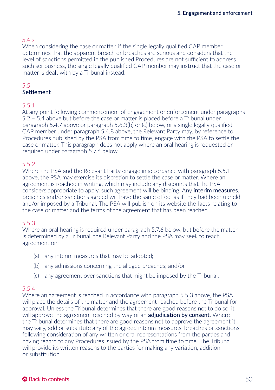## 5.4.9

When considering the case or matter, if the single legally qualified CAP member determines that the apparent breach or breaches are serious and considers that the level of sanctions permitted in the published Procedures are not sufficient to address such seriousness, the single legally qualified CAP member may instruct that the case or matter is dealt with by a Tribunal instead.

#### 5.5 **Settlement**

### 5.5.1

At any point following commencement of engagement or enforcement under paragraphs 5.2 – 5.4 above but before the case or matter is placed before a Tribunal under paragraph 5.4.7 above or paragraph 5.6.3(b) or (c) below, or a single legally qualified CAP member under paragraph 5.4.8 above, the Relevant Party may, by reference to Procedures published by the PSA from time to time, engage with the PSA to settle the case or matter. This paragraph does not apply where an oral hearing is requested or required under paragraph 5.7.6 below.

## 5.5.2

Where the PSA and the Relevant Party engage in accordance with paragraph 5.5.1 above, the PSA may exercise its discretion to settle the case or matter. Where an agreement is reached in writing, which may include any discounts that the PSA considers appropriate to apply, such agreement will be binding. Any **interim measures**, breaches and/or sanctions agreed will have the same effect as if they had been upheld and/or imposed by a Tribunal. The PSA will publish on its website the facts relating to the case or matter and the terms of the agreement that has been reached.

#### 5.5.3

Where an oral hearing is required under paragraph 5.7.6 below, but before the matter is determined by a Tribunal, the Relevant Party and the PSA may seek to reach agreement on:

- (a) any interim measures that may be adopted;
- (b) any admissions concerning the alleged breaches; and/or
- (c) any agreement over sanctions that might be imposed by the Tribunal.

## 5.5.4

Where an agreement is reached in accordance with paragraph 5.5.3 above, the PSA will place the details of the matter and the agreement reached before the Tribunal for approval. Unless the Tribunal determines that there are good reasons not to do so, it will approve the agreement reached by way of an **adjudication by consent**. Where the Tribunal determines that there are good reasons not to approve the agreement it may vary, add or substitute any of the agreed interim measures, breaches or sanctions following consideration of any written or oral representations from the parties and having regard to any Procedures issued by the PSA from time to time. The Tribunal will provide its written reasons to the parties for making any variation, addition or substitution.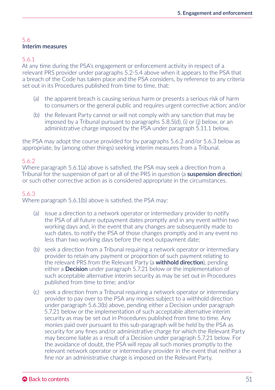## 5.6 Interim measures

#### 5.6.1

At any time during the PSA's engagement or enforcement activity in respect of a relevant PRS provider under paragraphs 5.2-5.4 above when it appears to the PSA that a breach of the Code has taken place and the PSA considers, by reference to any criteria set out in its Procedures published from time to time, that:

- (a) the apparent breach is causing serious harm or presents a serious risk of harm to consumers or the general public and requires urgent corrective action; and/or
- (b) the Relevant Party cannot or will not comply with any sanction that may be imposed by a Tribunal pursuant to paragraphs 5.8.5(d), (i) or (j) below, or an administrative charge imposed by the PSA under paragraph 5.11.1 below,

the PSA may adopt the course provided for by paragraphs 5.6.2 and/or 5.6.3 below as appropriate, by (among other things) seeking interim measures from a Tribunal.

#### 5.6.2

Where paragraph 5.6.1(a) above is satisfied, the PSA may seek a direction from a Tribunal for the suspension of part or all of the PRS in question (a **suspension direction**) or such other corrective action as is considered appropriate in the circumstances.

#### 5.6.3

Where paragraph 5.6.1(b) above is satisfied, the PSA may:

- (a) issue a direction to a network operator or intermediary provider to notify the PSA of all future outpayment dates promptly and in any event within two working days and, in the event that any changes are subsequently made to such dates, to notify the PSA of those changes promptly and in any event no less than two working days before the next outpayment date;
- (b) seek a direction from a Tribunal requiring a network operator or intermediary provider to retain any payment or proportion of such payment relating to the relevant PRS from the Relevant Party (a **withhold direction**), pending either a **Decision** under paragraph 5.7.21 below or the implementation of such acceptable alternative interim security as may be set out in Procedures published from time to time; and/or
- (c) seek a direction from a Tribunal requiring a network operator or intermediary provider to pay over to the PSA any monies subject to a withhold direction under paragraph 5.6.3(b) above, pending either a Decision under paragraph 5.7.21 below or the implementation of such acceptable alternative interim security as may be set out in Procedures published from time to time. Any monies paid over pursuant to this sub-paragraph will be held by the PSA as security for any fines and/or administrative charge for which the Relevant Party may become liable as a result of a Decision under paragraph 5.7.21 below. For the avoidance of doubt, the PSA will repay all such monies promptly to the relevant network operator or intermediary provider in the event that neither a fine nor an administrative charge is imposed on the Relevant Party.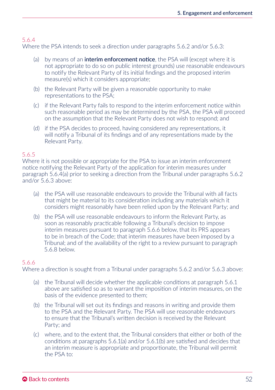## 5.6.4

Where the PSA intends to seek a direction under paragraphs 5.6.2 and/or 5.6.3:

- (a) by means of an **interim enforcement notice**, the PSA will (except where it is not appropriate to do so on public interest grounds) use reasonable endeavours to notify the Relevant Party of its initial findings and the proposed interim measure(s) which it considers appropriate;
- (b) the Relevant Party will be given a reasonable opportunity to make representations to the PSA;
- (c) if the Relevant Party fails to respond to the interim enforcement notice within such reasonable period as may be determined by the PSA, the PSA will proceed on the assumption that the Relevant Party does not wish to respond; and
- (d) if the PSA decides to proceed, having considered any representations, it will notify a Tribunal of its findings and of any representations made by the Relevant Party.

#### 5.6.5

Where it is not possible or appropriate for the PSA to issue an interim enforcement notice notifying the Relevant Party of the application for interim measures under paragraph 5.6.4(a) prior to seeking a direction from the Tribunal under paragraphs 5.6.2 and/or 5.6.3 above:

- (a) the PSA will use reasonable endeavours to provide the Tribunal with all facts that might be material to its consideration including any materials which it considers might reasonably have been relied upon by the Relevant Party; and
- (b) the PSA will use reasonable endeavours to inform the Relevant Party, as soon as reasonably practicable following a Tribunal's decision to impose interim measures pursuant to paragraph 5.6.6 below, that its PRS appears to be in breach of the Code; that interim measures have been imposed by a Tribunal; and of the availability of the right to a review pursuant to paragraph 5.6.8 below.

## 5.6.6

Where a direction is sought from a Tribunal under paragraphs 5.6.2 and/or 5.6.3 above:

- (a) the Tribunal will decide whether the applicable conditions at paragraph 5.6.1 above are satisfied so as to warrant the imposition of interim measures, on the basis of the evidence presented to them;
- (b) the Tribunal will set out its findings and reasons in writing and provide them to the PSA and the Relevant Party. The PSA will use reasonable endeavours to ensure that the Tribunal's written decision is received by the Relevant Party; and
- (c) where, and to the extent that, the Tribunal considers that either or both of the conditions at paragraphs 5.6.1(a) and/or 5.6.1(b) are satisfied and decides that an interim measure is appropriate and proportionate, the Tribunal will permit the PSA to: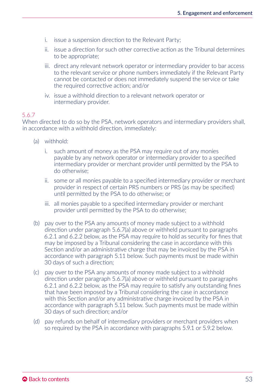- i. issue a suspension direction to the Relevant Party;
- ii. issue a direction for such other corrective action as the Tribunal determines to be appropriate;
- iii. direct any relevant network operator or intermediary provider to bar access to the relevant service or phone numbers immediately if the Relevant Party cannot be contacted or does not immediately suspend the service or take the required corrective action; and/or
- iv. issue a withhold direction to a relevant network operator or intermediary provider.

## 5.6.7

When directed to do so by the PSA, network operators and intermediary providers shall, in accordance with a withhold direction, immediately:

- (a) withhold:
	- i. such amount of money as the PSA may require out of any monies payable by any network operator or intermediary provider to a specified intermediary provider or merchant provider until permitted by the PSA to do otherwise;
	- ii. some or all monies payable to a specified intermediary provider or merchant provider in respect of certain PRS numbers or PRS (as may be specified) until permitted by the PSA to do otherwise; or
	- iii. all monies payable to a specified intermediary provider or merchant provider until permitted by the PSA to do otherwise;
- (b) pay over to the PSA any amounts of money made subject to a withhold direction under paragraph 5.6.7(a) above or withheld pursuant to paragraphs 6.2.1 and 6.2.2 below, as the PSA may require to hold as security for fines that may be imposed by a Tribunal considering the case in accordance with this Section and/or an administrative charge that may be invoiced by the PSA in accordance with paragraph 5.11 below. Such payments must be made within 30 days of such a direction;
- (c) pay over to the PSA any amounts of money made subject to a withhold direction under paragraph 5.6.7(a) above or withheld pursuant to paragraphs 6.2.1 and 6.2.2 below, as the PSA may require to satisfy any outstanding fines that have been imposed by a Tribunal considering the case in accordance with this Section and/or any administrative charge invoiced by the PSA in accordance with paragraph 5.11 below. Such payments must be made within 30 days of such direction; and/or
- (d) pay refunds on behalf of intermediary providers or merchant providers when so required by the PSA in accordance with paragraphs 5.9.1 or 5.9.2 below.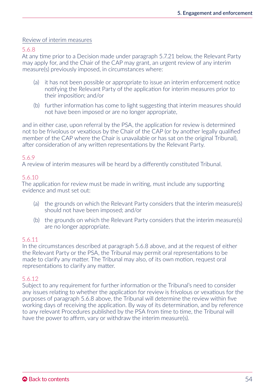#### Review of interim measures

5.6.8

At any time prior to a Decision made under paragraph 5.7.21 below, the Relevant Party may apply for, and the Chair of the CAP may grant, an urgent review of any interim measure(s) previously imposed, in circumstances where:

- (a) it has not been possible or appropriate to issue an interim enforcement notice notifying the Relevant Party of the application for interim measures prior to their imposition; and/or
- (b) further information has come to light suggesting that interim measures should not have been imposed or are no longer appropriate,

and in either case, upon referral by the PSA, the application for review is determined not to be frivolous or vexatious by the Chair of the CAP (or by another legally qualified member of the CAP where the Chair is unavailable or has sat on the original Tribunal), after consideration of any written representations by the Relevant Party.

#### 5.6.9

A review of interim measures will be heard by a differently constituted Tribunal.

#### 5.6.10

The application for review must be made in writing, must include any supporting evidence and must set out:

- (a) the grounds on which the Relevant Party considers that the interim measure(s) should not have been imposed; and/or
- (b) the grounds on which the Relevant Party considers that the interim measure(s) are no longer appropriate.

#### 5.6.11

In the circumstances described at paragraph 5.6.8 above, and at the request of either the Relevant Party or the PSA, the Tribunal may permit oral representations to be made to clarify any matter. The Tribunal may also, of its own motion, request oral representations to clarify any matter.

## 5.6.12

Subject to any requirement for further information or the Tribunal's need to consider any issues relating to whether the application for review is frivolous or vexatious for the purposes of paragraph 5.6.8 above, the Tribunal will determine the review within five working days of receiving the application. By way of its determination, and by reference to any relevant Procedures published by the PSA from time to time, the Tribunal will have the power to affirm, vary or withdraw the interim measure(s).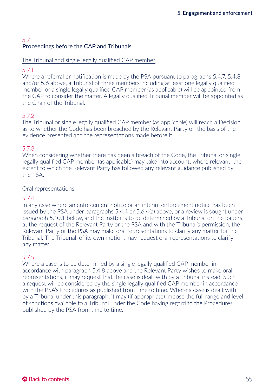# 5.7 Proceedings before the CAP and Tribunals

### The Tribunal and single legally qualified CAP member

## 5.7.1

Where a referral or notification is made by the PSA pursuant to paragraphs 5.4.7, 5.4.8 and/or 5.6 above, a Tribunal of three members including at least one legally qualified member or a single legally qualified CAP member (as applicable) will be appointed from the CAP to consider the matter. A legally qualified Tribunal member will be appointed as the Chair of the Tribunal.

## 5.7.2

The Tribunal or single legally qualified CAP member (as applicable) will reach a Decision as to whether the Code has been breached by the Relevant Party on the basis of the evidence presented and the representations made before it.

## 5.7.3

When considering whether there has been a breach of the Code, the Tribunal or single legally qualified CAP member (as applicable) may take into account, where relevant, the extent to which the Relevant Party has followed any relevant guidance published by the PSA.

## Oral representations

## 5.7.4

In any case where an enforcement notice or an interim enforcement notice has been issued by the PSA under paragraphs 5.4.4 or 5.6.4(a) above, or a review is sought under paragraph 5.10.1 below, and the matter is to be determined by a Tribunal on the papers, at the request of the Relevant Party or the PSA and with the Tribunal's permission, the Relevant Party or the PSA may make oral representations to clarify any matter for the Tribunal. The Tribunal, of its own motion, may request oral representations to clarify any matter.

# 5.7.5

Where a case is to be determined by a single legally qualified CAP member in accordance with paragraph 5.4.8 above and the Relevant Party wishes to make oral representations, it may request that the case is dealt with by a Tribunal instead. Such a request will be considered by the single legally qualified CAP member in accordance with the PSA's Procedures as published from time to time. Where a case is dealt with by a Tribunal under this paragraph, it may (if appropriate) impose the full range and level of sanctions available to a Tribunal under the Code having regard to the Procedures published by the PSA from time to time.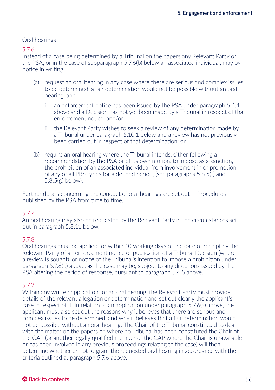## Oral hearings

5.7.6

Instead of a case being determined by a Tribunal on the papers any Relevant Party or the PSA, or in the case of subparagraph 5.7.6(b) below an associated individual, may by notice in writing:

- (a) request an oral hearing in any case where there are serious and complex issues to be determined, a fair determination would not be possible without an oral hearing, and:
	- i. an enforcement notice has been issued by the PSA under paragraph 5.4.4 above and a Decision has not yet been made by a Tribunal in respect of that enforcement notice; and/or
	- ii. the Relevant Party wishes to seek a review of any determination made by a Tribunal under paragraph 5.10.1 below and a review has not previously been carried out in respect of that determination; or
- (b) require an oral hearing where the Tribunal intends, either following a recommendation by the PSA or of its own motion, to impose as a sanction, the prohibition of an associated individual from involvement in or promotion of any or all PRS types for a defined period, (see paragraphs 5.8.5(f) and 5.8.5(g) below).

Further details concerning the conduct of oral hearings are set out in Procedures published by the PSA from time to time.

## 5.7.7

An oral hearing may also be requested by the Relevant Party in the circumstances set out in paragraph 5.8.11 below.

## 5.7.8

Oral hearings must be applied for within 10 working days of the date of receipt by the Relevant Party of an enforcement notice or publication of a Tribunal Decision (where a review is sought), or notice of the Tribunal's intention to impose a prohibition under paragraph 5.7.6(b) above, as the case may be, subject to any directions issued by the PSA altering the period of response, pursuant to paragraph 5.4.5 above.

## 5.7.9

Within any written application for an oral hearing, the Relevant Party must provide details of the relevant allegation or determination and set out clearly the applicant's case in respect of it. In relation to an application under paragraph 5.7.6(a) above, the applicant must also set out the reasons why it believes that there are serious and complex issues to be determined, and why it believes that a fair determination would not be possible without an oral hearing. The Chair of the Tribunal constituted to deal with the matter on the papers or, where no Tribunal has been constituted the Chair of the CAP (or another legally qualified member of the CAP where the Chair is unavailable or has been involved in any previous proceedings relating to the case) will then determine whether or not to grant the requested oral hearing in accordance with the criteria outlined at paragraph 5.7.6 above.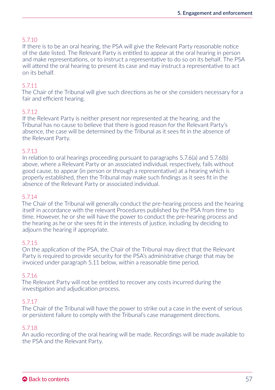## 5.7.10

If there is to be an oral hearing, the PSA will give the Relevant Party reasonable notice of the date listed. The Relevant Party is entitled to appear at the oral hearing in person and make representations, or to instruct a representative to do so on its behalf. The PSA will attend the oral hearing to present its case and may instruct a representative to act on its behalf.

## 5.7.11

The Chair of the Tribunal will give such directions as he or she considers necessary for a fair and efficient hearing.

#### 5.7.12

If the Relevant Party is neither present nor represented at the hearing, and the Tribunal has no cause to believe that there is good reason for the Relevant Party's absence, the case will be determined by the Tribunal as it sees fit in the absence of the Relevant Party.

#### 5.7.13

In relation to oral hearings proceeding pursuant to paragraphs 5.7.6(a) and 5.7.6(b) above, where a Relevant Party or an associated individual, respectively, fails without good cause, to appear (in person or through a representative) at a hearing which is properly established, then the Tribunal may make such findings as it sees fit in the absence of the Relevant Party or associated individual.

#### 5.7.14

The Chair of the Tribunal will generally conduct the pre-hearing process and the hearing itself in accordance with the relevant Procedures published by the PSA from time to time. However, he or she will have the power to conduct the pre-hearing process and the hearing as he or she sees fit in the interests of justice, including by deciding to adjourn the hearing if appropriate.

#### 5.7.15

On the application of the PSA, the Chair of the Tribunal may direct that the Relevant Party is required to provide security for the PSA's administrative charge that may be invoiced under paragraph 5.11 below, within a reasonable time period.

#### 5.7.16

The Relevant Party will not be entitled to recover any costs incurred during the investigation and adjudication process.

## 5.7.17

The Chair of the Tribunal will have the power to strike out a case in the event of serious or persistent failure to comply with the Tribunal's case management directions.

#### 5.7.18

An audio recording of the oral hearing will be made. Recordings will be made available to the PSA and the Relevant Party.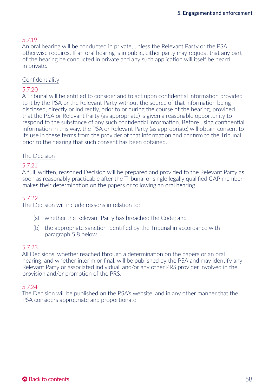## 5.7.19

An oral hearing will be conducted in private, unless the Relevant Party or the PSA otherwise requires. If an oral hearing is in public, either party may request that any part of the hearing be conducted in private and any such application will itself be heard in private.

### Confidentiality

### 5.7.20

A Tribunal will be entitled to consider and to act upon confidential information provided to it by the PSA or the Relevant Party without the source of that information being disclosed, directly or indirectly, prior to or during the course of the hearing, provided that the PSA or Relevant Party (as appropriate) is given a reasonable opportunity to respond to the substance of any such confidential information. Before using confidential information in this way, the PSA or Relevant Party (as appropriate) will obtain consent to its use in these terms from the provider of that information and confirm to the Tribunal prior to the hearing that such consent has been obtained.

### The Decision

#### 5.7.21

A full, written, reasoned Decision will be prepared and provided to the Relevant Party as soon as reasonably practicable after the Tribunal or single legally qualified CAP member makes their determination on the papers or following an oral hearing.

#### 5.7.22

The Decision will include reasons in relation to:

- (a) whether the Relevant Party has breached the Code; and
- (b) the appropriate sanction identified by the Tribunal in accordance with paragraph 5.8 below.

#### 5.7.23

All Decisions, whether reached through a determination on the papers or an oral hearing, and whether interim or final, will be published by the PSA and may identify any Relevant Party or associated individual, and/or any other PRS provider involved in the provision and/or promotion of the PRS.

#### 5.7.24

The Decision will be published on the PSA's website, and in any other manner that the PSA considers appropriate and proportionate.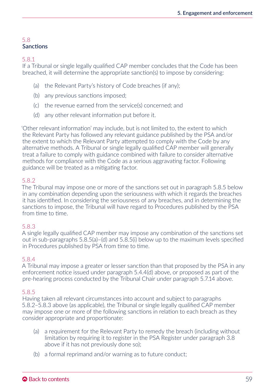## 5.8 **Sanctions**

5.8.1

If a Tribunal or single legally qualified CAP member concludes that the Code has been breached, it will determine the appropriate sanction(s) to impose by considering:

- (a) the Relevant Party's history of Code breaches (if any);
- (b) any previous sanctions imposed;
- (c) the revenue earned from the service(s) concerned; and
- (d) any other relevant information put before it.

'Other relevant information' may include, but is not limited to, the extent to which the Relevant Party has followed any relevant guidance published by the PSA and/or the extent to which the Relevant Party attempted to comply with the Code by any alternative methods. A Tribunal or single legally qualified CAP member will generally treat a failure to comply with guidance combined with failure to consider alternative methods for compliance with the Code as a serious aggravating factor. Following guidance will be treated as a mitigating factor.

## 5.8.2

The Tribunal may impose one or more of the sanctions set out in paragraph 5.8.5 below in any combination depending upon the seriousness with which it regards the breaches it has identified. In considering the seriousness of any breaches, and in determining the sanctions to impose, the Tribunal will have regard to Procedures published by the PSA from time to time.

## 5.8.3

A single legally qualified CAP member may impose any combination of the sanctions set out in sub-paragraphs 5.8.5(a)–(d) and 5.8.5(i) below up to the maximum levels specified in Procedures published by PSA from time to time.

## 5.8.4

A Tribunal may impose a greater or lesser sanction than that proposed by the PSA in any enforcement notice issued under paragraph 5.4.4(d) above, or proposed as part of the pre-hearing process conducted by the Tribunal Chair under paragraph 5.7.14 above.

## 5.8.5

Having taken all relevant circumstances into account and subject to paragraphs 5.8.2–5.8.3 above (as applicable), the Tribunal or single legally qualified CAP member may impose one or more of the following sanctions in relation to each breach as they consider appropriate and proportionate:

- (a) a requirement for the Relevant Party to remedy the breach (including without limitation by requiring it to register in the PSA Register under paragraph 3.8 above if it has not previously done so);
- (b) a formal reprimand and/or warning as to future conduct;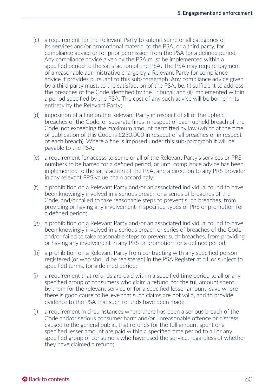- (c) a requirement for the Relevant Party to submit some or all categories of its services and/or promotional material to the PSA, or a third party, for compliance advice or for prior permission from the PSA for a defined period. Any compliance advice given by the PSA must be implemented within a specified period to the satisfaction of the PSA. The PSA may require payment of a reasonable administrative charge by a Relevant Party for compliance advice it provides pursuant to this sub-paragraph. Any compliance advice given by a third party must, to the satisfaction of the PSA, be: (i) sufficient to address the breaches of the Code identified by the Tribunal; and (ii) implemented within a period specified by the PSA. The cost of any such advice will be borne in its entirety by the Relevant Party;
- (d) imposition of a fine on the Relevant Party in respect of all of the upheld breaches of the Code, or separate fines in respect of each upheld breach of the Code, not exceeding the maximum amount permitted by law (which at the time of publication of this Code is £250,000 in respect of all breaches or in respect of each breach). Where a fine is imposed under this sub-paragraph it will be payable to the PSA;
- (e) a requirement for access to some or all of the Relevant Party's services or PRS numbers to be barred for a defined period, or until compliance advice has been implemented to the satisfaction of the PSA, and a direction to any PRS provider in any relevant PRS value chain accordingly;
- (f) a prohibition on a Relevant Party and/or an associated individual found to have been knowingly involved in a serious breach or a series of breaches of the Code, and/or failed to take reasonable steps to prevent such breaches, from providing or having any involvement in specified types of PRS or promotion for a defined period;
- (g) a prohibition on a Relevant Party and/or an associated individual found to have been knowingly involved in a serious breach or series of breaches of the Code, and/or failed to take reasonable steps to prevent such breaches, from providing or having any involvement in any PRS or promotion for a defined period;
- (h) a prohibition on a Relevant Party from contracting with any specified person registered (or who should be registered) in the PSA Register at all, or subject to specified terms, for a defined period;
- (i) a requirement that refunds are paid within a specified time period to all or any specified group of consumers who claim a refund, for the full amount spent by them for the relevant service or for a specified lesser amount, save where there is good cause to believe that such claims are not valid, and to provide evidence to the PSA that such refunds have been made;
- (j) a requirement in circumstances where there has been a serious breach of the Code and/or serious consumer harm and/or unreasonable offence or distress caused to the general public, that refunds for the full amount spent or a specified lesser amount are paid within a specified time period to all or any specified group of consumers who have used the service, regardless of whether they have claimed a refund;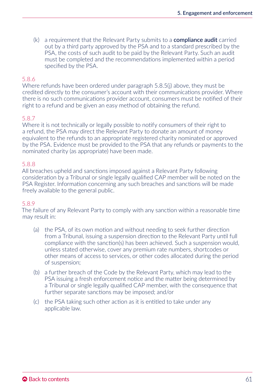(k) a requirement that the Relevant Party submits to a **compliance audit** carried out by a third party approved by the PSA and to a standard prescribed by the PSA, the costs of such audit to be paid by the Relevant Party. Such an audit must be completed and the recommendations implemented within a period specified by the PSA.

#### 5.8.6

Where refunds have been ordered under paragraph 5.8.5(j) above, they must be credited directly to the consumer's account with their communications provider. Where there is no such communications provider account, consumers must be notified of their right to a refund and be given an easy method of obtaining the refund.

#### 5.8.7

Where it is not technically or legally possible to notify consumers of their right to a refund, the PSA may direct the Relevant Party to donate an amount of money equivalent to the refunds to an appropriate registered charity nominated or approved by the PSA. Evidence must be provided to the PSA that any refunds or payments to the nominated charity (as appropriate) have been made.

#### 5.8.8

All breaches upheld and sanctions imposed against a Relevant Party following consideration by a Tribunal or single legally qualified CAP member will be noted on the PSA Register. Information concerning any such breaches and sanctions will be made freely available to the general public.

#### 5.8.9

The failure of any Relevant Party to comply with any sanction within a reasonable time may result in:

- (a) the PSA, of its own motion and without needing to seek further direction from a Tribunal, issuing a suspension direction to the Relevant Party until full compliance with the sanction(s) has been achieved. Such a suspension would, unless stated otherwise, cover any premium rate numbers, shortcodes or other means of access to services, or other codes allocated during the period of suspension;
- (b) a further breach of the Code by the Relevant Party, which may lead to the PSA issuing a fresh enforcement notice and the matter being determined by a Tribunal or single legally qualified CAP member, with the consequence that further separate sanctions may be imposed; and/or
- (c) the PSA taking such other action as it is entitled to take under any applicable law.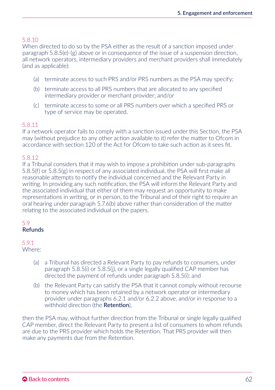## 5.8.10

When directed to do so by the PSA either as the result of a sanction imposed under paragraph 5.8.5(e)-(g) above or in consequence of the issue of a suspension direction, all network operators, intermediary providers and merchant providers shall immediately (and as applicable):

- (a) terminate access to such PRS and/or PRS numbers as the PSA may specify;
- (b) terminate access to all PRS numbers that are allocated to any specified intermediary provider or merchant provider; and/or
- (c) terminate access to some or all PRS numbers over which a specified PRS or type of service may be operated.

#### 5.8.11

If a network operator fails to comply with a sanction issued under this Section, the PSA may (without prejudice to any other action available to it) refer the matter to Ofcom in accordance with section 120 of the Act for Ofcom to take such action as it sees fit.

#### 5.8.12

If a Tribunal considers that it may wish to impose a prohibition under sub-paragraphs 5.8.5(f) or 5.8.5(g) in respect of any associated individual, the PSA will first make all reasonable attempts to notify the individual concerned and the Relevant Party in writing. In providing any such notification, the PSA will inform the Relevant Party and the associated individual that either of them may request an opportunity to make representations in writing, or in person, to the Tribunal and of their right to require an oral hearing under paragraph 5.7.6(b) above rather than consideration of the matter relating to the associated individual on the papers.

#### 5.9 Refunds

# 5.9.1

Where:

- (a) a Tribunal has directed a Relevant Party to pay refunds to consumers, under paragraph 5.8.5(i) or 5.8.5(j), or a single legally qualified CAP member has directed the payment of refunds under paragraph 5.8.5(i); and
- (b) the Relevant Party can satisfy the PSA that it cannot comply without recourse to money which has been retained by a network operator or intermediary provider under paragraphs 6.2.1 and/or 6.2.2 above, and/or in response to a withhold direction (the **Retention**).

then the PSA may, without further direction from the Tribunal or single legally qualified CAP member, direct the Relevant Party to present a list of consumers to whom refunds are due to the PRS provider which holds the Retention. That PRS provider will then make any payments due from the Retention.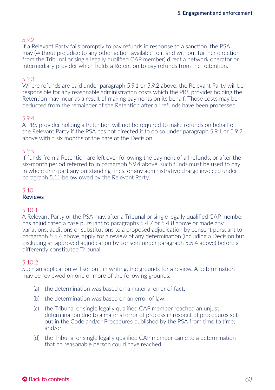## 5.9.2

If a Relevant Party fails promptly to pay refunds in response to a sanction, the PSA may (without prejudice to any other action available to it and without further direction from the Tribunal or single legally qualified CAP member) direct a network operator or intermediary provider which holds a Retention to pay refunds from the Retention.

#### 5.9.3

Where refunds are paid under paragraph 5.9.1 or 5.9.2 above, the Relevant Party will be responsible for any reasonable administration costs which the PRS provider holding the Retention may incur as a result of making payments on its behalf. Those costs may be deducted from the remainder of the Retention after all refunds have been processed.

#### 5.9.4

A PRS provider holding a Retention will not be required to make refunds on behalf of the Relevant Party if the PSA has not directed it to do so under paragraph 5.9.1 or 5.9.2 above within six months of the date of the Decision.

#### 5.9.5

If funds from a Retention are left over following the payment of all refunds, or after the six-month period referred to in paragraph 5.9.4 above, such funds must be used to pay in whole or in part any outstanding fines, or any administrative charge invoiced under paragraph 5.11 below owed by the Relevant Party.

#### 5.10 **Reviews**

#### 5.10.1

A Relevant Party or the PSA may, after a Tribunal or single legally qualified CAP member has adjudicated a case pursuant to paragraphs 5.4.7 or 5.4.8 above or made any variations, additions or substitutions to a proposed adjudication by consent pursuant to paragraph 5.5.4 above, apply for a review of any determination (including a Decision but excluding an approved adjudication by consent under paragraph 5.5.4 above) before a differently constituted Tribunal.

#### 5.10.2

Such an application will set out, in writing, the grounds for a review. A determination may be reviewed on one or more of the following grounds:

- (a) the determination was based on a material error of fact;
- (b) the determination was based on an error of law;
- (c) the Tribunal or single legally qualified CAP member reached an unjust determination due to a material error of process in respect of procedures set out in the Code and/or Procedures published by the PSA from time to time; and/or
- (d) the Tribunal or single legally qualified CAP member came to a determination that no reasonable person could have reached.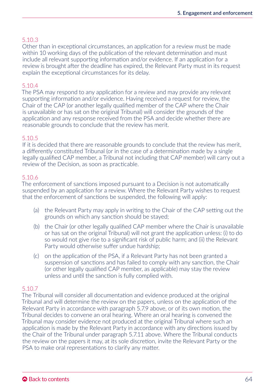## 5.10.3

Other than in exceptional circumstances, an application for a review must be made within 10 working days of the publication of the relevant determination and must include all relevant supporting information and/or evidence. If an application for a review is brought after the deadline has expired, the Relevant Party must in its request explain the exceptional circumstances for its delay.

## 5.10.4

The PSA may respond to any application for a review and may provide any relevant supporting information and/or evidence. Having received a request for review, the Chair of the CAP (or another legally qualified member of the CAP where the Chair is unavailable or has sat on the original Tribunal) will consider the grounds of the application and any response received from the PSA and decide whether there are reasonable grounds to conclude that the review has merit.

### 5.10.5

If it is decided that there are reasonable grounds to conclude that the review has merit, a differently constituted Tribunal (or in the case of a determination made by a single legally qualified CAP member, a Tribunal not including that CAP member) will carry out a review of the Decision, as soon as practicable.

## 5.10.6

The enforcement of sanctions imposed pursuant to a Decision is not automatically suspended by an application for a review. Where the Relevant Party wishes to request that the enforcement of sanctions be suspended, the following will apply:

- (a) the Relevant Party may apply in writing to the Chair of the CAP setting out the grounds on which any sanction should be stayed;
- (b) the Chair (or other legally qualified CAP member where the Chair is unavailable or has sat on the original Tribunal) will not grant the application unless: (i) to do so would not give rise to a significant risk of public harm; and (ii) the Relevant Party would otherwise suffer undue hardship;
- (c) on the application of the PSA, if a Relevant Party has not been granted a suspension of sanctions and has failed to comply with any sanction, the Chair (or other legally qualified CAP member, as applicable) may stay the review unless and until the sanction is fully complied with.

## 5.10.7

The Tribunal will consider all documentation and evidence produced at the original Tribunal and will determine the review on the papers, unless on the application of the Relevant Party in accordance with paragraph 5.7.9 above, or of its own motion, the Tribunal decides to convene an oral hearing. Where an oral hearing is convened the Tribunal may consider evidence not produced at the original Tribunal where such an application is made by the Relevant Party in accordance with any directions issued by the Chair of the Tribunal under paragraph 5.7.11 above. Where the Tribunal conducts the review on the papers it may, at its sole discretion, invite the Relevant Party or the PSA to make oral representations to clarify any matter.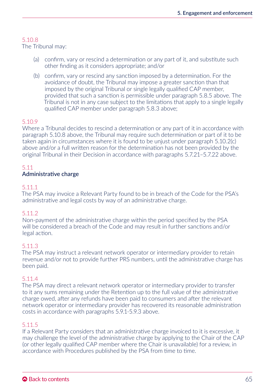## 5.10.8

The Tribunal may:

- (a) confirm, vary or rescind a determination or any part of it, and substitute such other finding as it considers appropriate; and/or
- (b) confirm, vary or rescind any sanction imposed by a determination. For the avoidance of doubt, the Tribunal may impose a greater sanction than that imposed by the original Tribunal or single legally qualified CAP member. provided that such a sanction is permissible under paragraph 5.8.5 above. The Tribunal is not in any case subject to the limitations that apply to a single legally qualified CAP member under paragraph 5.8.3 above;

## 5.10.9

Where a Tribunal decides to rescind a determination or any part of it in accordance with paragraph 5.10.8 above, the Tribunal may require such determination or part of it to be taken again in circumstances where it is found to be unjust under paragraph 5.10.2(c) above and/or a full written reason for the determination has not been provided by the original Tribunal in their Decision in accordance with paragraphs 5.7.21–5.7.22 above.

#### 5.11 Administrative charge

### 5.11.1

The PSA may invoice a Relevant Party found to be in breach of the Code for the PSA's administrative and legal costs by way of an administrative charge.

## 5.11.2

Non-payment of the administrative charge within the period specified by the PSA will be considered a breach of the Code and may result in further sanctions and/or legal action.

#### 5.11.3

The PSA may instruct a relevant network operator or intermediary provider to retain revenue and/or not to provide further PRS numbers, until the administrative charge has been paid.

## 5.11.4

The PSA may direct a relevant network operator or intermediary provider to transfer to it any sums remaining under the Retention up to the full value of the administrative charge owed, after any refunds have been paid to consumers and after the relevant network operator or intermediary provider has recovered its reasonable administration costs in accordance with paragraphs 5.9.1-5.9.3 above.

## 5.11.5

If a Relevant Party considers that an administrative charge invoiced to it is excessive, it may challenge the level of the administrative charge by applying to the Chair of the CAP (or other legally qualified CAP member where the Chair is unavailable) for a review, in accordance with Procedures published by the PSA from time to time.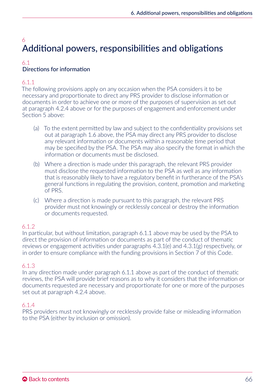# 6 Additional powers, responsibilities and obligations

## 6.1 Directions for information

## 6.1.1

The following provisions apply on any occasion when the PSA considers it to be necessary and proportionate to direct any PRS provider to disclose information or documents in order to achieve one or more of the purposes of supervision as set out at paragraph 4.2.4 above or for the purposes of engagement and enforcement under Section 5 above:

- (a) To the extent permitted by law and subject to the confidentiality provisions set out at paragraph 1.6 above, the PSA may direct any PRS provider to disclose any relevant information or documents within a reasonable time period that may be specified by the PSA. The PSA may also specify the format in which the information or documents must be disclosed.
- (b) Where a direction is made under this paragraph, the relevant PRS provider must disclose the requested information to the PSA as well as any information that is reasonably likely to have a regulatory benefit in furtherance of the PSA's general functions in regulating the provision, content, promotion and marketing of PRS.
- (c) Where a direction is made pursuant to this paragraph, the relevant PRS provider must not knowingly or recklessly conceal or destroy the information or documents requested.

## 6.1.2

In particular, but without limitation, paragraph 6.1.1 above may be used by the PSA to direct the provision of information or documents as part of the conduct of thematic reviews or engagement activities under paragraphs 4.3.1(e) and 4.3.1(g) respectively, or in order to ensure compliance with the funding provisions in Section 7 of this Code.

## 6.1.3

In any direction made under paragraph 6.1.1 above as part of the conduct of thematic reviews, the PSA will provide brief reasons as to why it considers that the information or documents requested are necessary and proportionate for one or more of the purposes set out at paragraph 4.2.4 above.

## 6.1.4

PRS providers must not knowingly or recklessly provide false or misleading information to the PSA (either by inclusion or omission).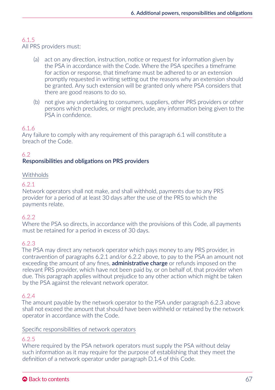# 6.1.5

All PRS providers must:

- (a) act on any direction, instruction, notice or request for information given by the PSA in accordance with the Code. Where the PSA specifies a timeframe for action or response, that timeframe must be adhered to or an extension promptly requested in writing setting out the reasons why an extension should be granted. Any such extension will be granted only where PSA considers that there are good reasons to do so.
- (b) not give any undertaking to consumers, suppliers, other PRS providers or other persons which precludes, or might preclude, any information being given to the PSA in confidence.

## 6.1.6

Any failure to comply with any requirement of this paragraph 6.1 will constitute a breach of the Code.

# 6.2

## Responsibilities and obligations on PRS providers

## Withholds

## 6.2.1

Network operators shall not make, and shall withhold, payments due to any PRS provider for a period of at least 30 days after the use of the PRS to which the payments relate.

## 6.22

Where the PSA so directs, in accordance with the provisions of this Code, all payments must be retained for a period in excess of 30 days.

## 6.2.3

The PSA may direct any network operator which pays money to any PRS provider, in contravention of paragraphs 6.2.1 and/or 6.2.2 above, to pay to the PSA an amount not exceeding the amount of any fines, administrative charge or refunds imposed on the relevant PRS provider, which have not been paid by, or on behalf of, that provider when due. This paragraph applies without prejudice to any other action which might be taken by the PSA against the relevant network operator.

#### 6.2.4

The amount payable by the network operator to the PSA under paragraph 6.2.3 above shall not exceed the amount that should have been withheld or retained by the network operator in accordance with the Code.

#### Specific responsibilities of network operators

## 6.2.5

Where required by the PSA network operators must supply the PSA without delay such information as it may require for the purpose of establishing that they meet the definition of a network operator under paragraph D.1.4 of this Code.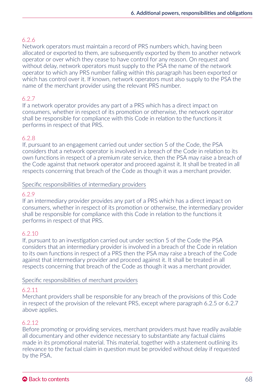Network operators must maintain a record of PRS numbers which, having been allocated or exported to them, are subsequently exported by them to another network operator or over which they cease to have control for any reason. On request and without delay, network operators must supply to the PSA the name of the network operator to which any PRS number falling within this paragraph has been exported or which has control over it. If known, network operators must also supply to the PSA the name of the merchant provider using the relevant PRS number.

## 6.2.7

If a network operator provides any part of a PRS which has a direct impact on consumers, whether in respect of its promotion or otherwise, the network operator shall be responsible for compliance with this Code in relation to the functions it performs in respect of that PRS.

## 6.2.8

If, pursuant to an engagement carried out under section 5 of the Code, the PSA considers that a network operator is involved in a breach of the Code in relation to its own functions in respect of a premium rate service, then the PSA may raise a breach of the Code against that network operator and proceed against it. It shall be treated in all respects concerning that breach of the Code as though it was a merchant provider.

### Specific responsibilities of intermediary providers

### 6.2.9

If an intermediary provider provides any part of a PRS which has a direct impact on consumers, whether in respect of its promotion or otherwise, the intermediary provider shall be responsible for compliance with this Code in relation to the functions it performs in respect of that PRS.

## 6.2.10

If, pursuant to an investigation carried out under section 5 of the Code the PSA considers that an intermediary provider is involved in a breach of the Code in relation to its own functions in respect of a PRS then the PSA may raise a breach of the Code against that intermediary provider and proceed against it. It shall be treated in all respects concerning that breach of the Code as though it was a merchant provider.

## Specific responsibilities of merchant providers

## 6.2.11

Merchant providers shall be responsible for any breach of the provisions of this Code in respect of the provision of the relevant PRS, except where paragraph 6.2.5 or 6.2.7 above applies.

## 6.2.12

Before promoting or providing services, merchant providers must have readily available all documentary and other evidence necessary to substantiate any factual claims made in its promotional material. This material, together with a statement outlining its relevance to the factual claim in question must be provided without delay if requested by the PSA.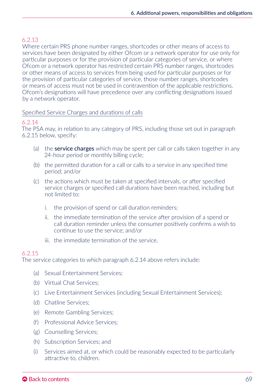Where certain PRS phone number ranges, shortcodes or other means of access to services have been designated by either Ofcom or a network operator for use only for particular purposes or for the provision of particular categories of service, or where Ofcom or a network operator has restricted certain PRS number ranges, shortcodes or other means of access to services from being used for particular purposes or for the provision of particular categories of service, those number ranges, shortcodes or means of access must not be used in contravention of the applicable restrictions. Ofcom's designations will have precedence over any conflicting designations issued by a network operator.

### Specified Service Charges and durations of calls

#### 6.2.14

The PSA may, in relation to any category of PRS, including those set out in paragraph 6.2.15 below, specify:

- (a) the **service charges** which may be spent per call or calls taken together in any 24-hour period or monthly billing cycle;
- (b) the permitted duration for a call or calls to a service in any specified time period; and/or
- (c) the actions which must be taken at specified intervals, or after specified service charges or specified call durations have been reached, including but not limited to:
	- i. the provision of spend or call duration reminders;
	- ii. the immediate termination of the service after provision of a spend or call duration reminder unless the consumer positively confirms a wish to continue to use the service; and/or
	- iii. the immediate termination of the service.

#### 6.2.15

The service categories to which paragraph 6.2.14 above refers include:

- (a) Sexual Entertainment Services;
- (b) Virtual Chat Services;
- (c) Live Entertainment Services (including Sexual Entertainment Services);
- (d) Chatline Services;
- (e) Remote Gambling Services;
- (f) Professional Advice Services;
- (g) Counselling Services;
- (h) Subscription Services; and
- (i) Services aimed at, or which could be reasonably expected to be particularly attractive to, children.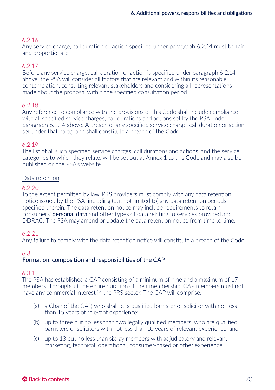Any service charge, call duration or action specified under paragraph 6.2.14 must be fair and proportionate.

## 6.2.17

Before any service charge, call duration or action is specified under paragraph 6.2.14 above, the PSA will consider all factors that are relevant and within its reasonable contemplation, consulting relevant stakeholders and considering all representations made about the proposal within the specified consultation period.

### 6.2.18

Any reference to compliance with the provisions of this Code shall include compliance with all specified service charges, call durations and actions set by the PSA under paragraph 6.2.14 above. A breach of any specified service charge, call duration or action set under that paragraph shall constitute a breach of the Code.

### 6.2.19

The list of all such specified service charges, call durations and actions, and the service categories to which they relate, will be set out at Annex 1 to this Code and may also be published on the PSA's website.

### Data retention

## 6.2.20

To the extent permitted by law, PRS providers must comply with any data retention notice issued by the PSA, including (but not limited to) any data retention periods specified therein. The data retention notice may include requirements to retain consumers' personal data and other types of data relating to services provided and DDRAC. The PSA may amend or update the data retention notice from time to time.

#### 6.2.21

Any failure to comply with the data retention notice will constitute a breach of the Code.

## 6.3

#### Formation, composition and responsibilities of the CAP

#### 6.3.1

The PSA has established a CAP consisting of a minimum of nine and a maximum of 17 members. Throughout the entire duration of their membership, CAP members must not have any commercial interest in the PRS sector. The CAP will comprise:

- (a) a Chair of the CAP, who shall be a qualified barrister or solicitor with not less than 15 years of relevant experience;
- (b) up to three but no less than two legally qualified members, who are qualified barristers or solicitors with not less than 10 years of relevant experience; and
- (c) up to 13 but no less than six lay members with adjudicatory and relevant marketing, technical, operational, consumer-based or other experience.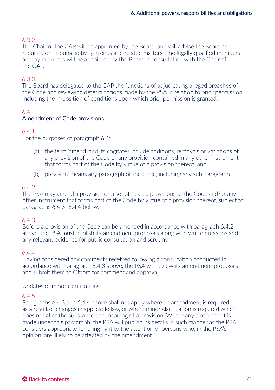## 6.3.2

The Chair of the CAP will be appointed by the Board, and will advise the Board as required on Tribunal activity, trends and related matters. The legally qualified members and lay members will be appointed by the Board in consultation with the Chair of the CAP.

## 6.3.3

The Board has delegated to the CAP the functions of adjudicating alleged breaches of the Code and reviewing determinations made by the PSA in relation to prior permission, including the imposition of conditions upon which prior permission is granted.

#### 6.4 Amendment of Code provisions

## 6.4.1

For the purposes of paragraph 6.4:

- (a) the term 'amend' and its cognates include additions, removals or variations of any provision of the Code or any provision contained in any other instrument that forms part of the Code by virtue of a provision thereof; and
- (b) 'provision' means any paragraph of the Code, including any sub-paragraph.

## 6.4.2

The PSA may amend a provision or a set of related provisions of the Code and/or any other instrument that forms part of the Code by virtue of a provision thereof, subject to paragraphs 6.4.3–6.4.4 below.

#### 6.4.3

Before a provision of the Code can be amended in accordance with paragraph 6.4.2 above, the PSA must publish its amendment proposals along with written reasons and any relevant evidence for public consultation and scrutiny.

#### 6.4.4

Having considered any comments received following a consultation conducted in accordance with paragraph 6.4.3 above, the PSA will review its amendment proposals and submit them to Ofcom for comment and approval.

#### Updates or minor clarifications

## 6.4.5

Paragraphs 6.4.3 and 6.4.4 above shall not apply where an amendment is required as a result of changes in applicable law, or where minor clarification is required which does not alter the substance and meaning of a provision. Where any amendment is made under this paragraph, the PSA will publish its details in such manner as the PSA considers appropriate for bringing it to the attention of persons who, in the PSA's opinion, are likely to be affected by the amendment.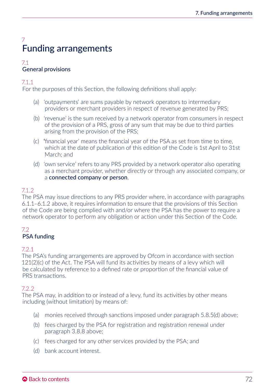# 7 Funding arrangements

#### 7.1 General provisions

# 7.1.1

For the purposes of this Section, the following definitions shall apply:

- (a) 'outpayments' are sums payable by network operators to intermediary providers or merchant providers in respect of revenue generated by PRS;
- (b) 'revenue' is the sum received by a network operator from consumers in respect of the provision of a PRS, gross of any sum that may be due to third parties arising from the provision of the PRS;
- (c) 'financial year' means the financial year of the PSA as set from time to time, which at the date of publication of this edition of the Code is 1st April to 31st March; and
- (d) 'own service' refers to any PRS provided by a network operator also operating as a merchant provider, whether directly or through any associated company, or a connected company or person.

# 712

The PSA may issue directions to any PRS provider where, in accordance with paragraphs 6.1.1–6.1.2 above, it requires information to ensure that the provisions of this Section of the Code are being complied with and/or where the PSA has the power to require a network operator to perform any obligation or action under this Section of the Code.

# 7.2

# PSA funding

# 7.2.1

The PSA's funding arrangements are approved by Ofcom in accordance with section 121(2)(c) of the Act. The PSA will fund its activities by means of a levy which will be calculated by reference to a defined rate or proportion of the financial value of PRS transactions.

# 722

The PSA may, in addition to or instead of a levy, fund its activities by other means including (without limitation) by means of:

- (a) monies received through sanctions imposed under paragraph 5.8.5(d) above;
- (b) fees charged by the PSA for registration and registration renewal under paragraph 3.8.8 above;
- (c) fees charged for any other services provided by the PSA; and
- (d) bank account interest.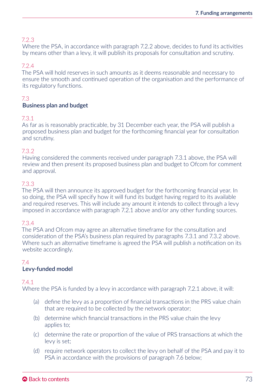# 7.2.3

Where the PSA, in accordance with paragraph 7.2.2 above, decides to fund its activities by means other than a levy, it will publish its proposals for consultation and scrutiny.

# 7.2.4

The PSA will hold reserves in such amounts as it deems reasonable and necessary to ensure the smooth and continued operation of the organisation and the performance of its regulatory functions.

# 7.3

#### Business plan and budget

#### 7.3.1

As far as is reasonably practicable, by 31 December each year, the PSA will publish a proposed business plan and budget for the forthcoming financial year for consultation and scrutiny.

#### 7.3.2

Having considered the comments received under paragraph 7.3.1 above, the PSA will review and then present its proposed business plan and budget to Ofcom for comment and approval.

#### 7.3.3

The PSA will then announce its approved budget for the forthcoming financial year. In so doing, the PSA will specify how it will fund its budget having regard to its available and required reserves. This will include any amount it intends to collect through a levy imposed in accordance with paragraph 7.2.1 above and/or any other funding sources.

#### 7.3.4

The PSA and Ofcom may agree an alternative timeframe for the consultation and consideration of the PSA's business plan required by paragraphs 7.3.1 and 7.3.2 above. Where such an alternative timeframe is agreed the PSA will publish a notification on its website accordingly.

# 7.4

## Levy-funded model

#### 7.4.1

Where the PSA is funded by a levy in accordance with paragraph 7.2.1 above, it will:

- (a) define the levy as a proportion of financial transactions in the PRS value chain that are required to be collected by the network operator;
- (b) determine which financial transactions in the PRS value chain the levy applies to;
- (c) determine the rate or proportion of the value of PRS transactions at which the levy is set;
- (d) require network operators to collect the levy on behalf of the PSA and pay it to PSA in accordance with the provisions of paragraph 7.6 below;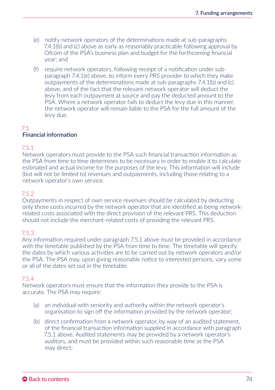- (e) notify network operators of the determinations made at sub-paragraphs 7.4.1(b) and (c) above as early as reasonably practicable following approval by Ofcom of the PSA's business plan and budget for the forthcoming financial year; and
- (f) require network operators, following receipt of a notification under subparagraph 7.4.1(e) above, to inform every PRS provider to which they make outpayments of the determinations made at sub-paragraphs 7.4.1(b) and (c) above, and of the fact that the relevant network operator will deduct the levy from each outpayment at source and pay the deducted amount to the PSA. Where a network operator fails to deduct the levy due in this manner, the network operator will remain liable to the PSA for the full amount of the levy due.

#### 7.5 Financial information

# 7.5.1

Network operators must provide to the PSA such financial transaction information as the PSA from time to time determines to be necessary in order to enable it to calculate estimated and actual income for the purposes of the levy. This information will include (but will not be limited to) revenues and outpayments, including those relating to a network operator's own service.

#### 7.5.2

Outpayments in respect of own service revenues should be calculated by deducting only those costs incurred by the network operator that are identified as being networkrelated costs associated with the direct provision of the relevant PRS. This deduction should not include the merchant-related costs of providing the relevant PRS.

#### 7.5.3

Any information required under paragraph 7.5.1 above must be provided in accordance with the timetable published by the PSA from time to time. The timetable will specify the dates by which various activities are to be carried out by network operators and/or the PSA. The PSA may, upon giving reasonable notice to interested persons, vary some or all of the dates set out in the timetable.

#### 7.5.4

Network operators must ensure that the information they provide to the PSA is accurate. The PSA may require:

- (a) an individual with seniority and authority within the network operator's organisation to sign off the information provided by the network operator;
- (b) direct confirmation from a network operator, by way of an audited statement, of the financial transaction information supplied in accordance with paragraph 7.5.1 above. Audited statements may be provided by a network operator's auditors, and must be provided within such reasonable time as the PSA may direct;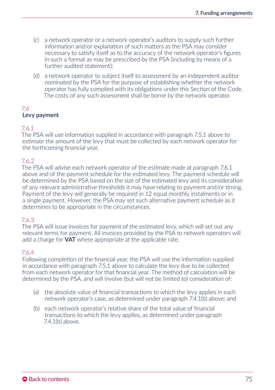- (c) a network operator or a network operator's auditors to supply such further information and/or explanation of such matters as the PSA may consider necessary to satisfy itself as to the accuracy of the network operator's figures in such a format as may be prescribed by the PSA (including by means of a further audited statement);
- (d) a network operator to subject itself to assessment by an independent auditor nominated by the PSA for the purpose of establishing whether the network operator has fully complied with its obligations under this Section of the Code. The costs of any such assessment shall be borne by the network operator.

#### 7.6 Levy payment

# 7.6.1

The PSA will use information supplied in accordance with paragraph 7.5.1 above to estimate the amount of the levy that must be collected by each network operator for the forthcoming financial year.

# 7.6.2

The PSA will advise each network operator of the estimate made at paragraph 7.6.1 above and of the payment schedule for the estimated levy. The payment schedule will be determined by the PSA based on the size of the estimated levy and its consideration of any relevant administrative thresholds it may have relating to payment and/or timing. Payment of the levy will generally be required in 12 equal monthly instalments or in a single payment. However, the PSA may set such alternative payment schedule as it determines to be appropriate in the circumstances.

#### 7.6.3

The PSA will issue invoices for payment of the estimated levy, which will set out any relevant terms for payment. All invoices provided by the PSA to network operators will add a charge for **VAT** where appropriate at the applicable rate.

#### 7.6.4

Following completion of the financial year, the PSA will use the information supplied in accordance with paragraph 7.5.1 above to calculate the levy due to be collected from each network operator for that financial year. The method of calculation will be determined by the PSA, and will involve (but will not be limited to) consideration of:

- (a) the absolute value of financial transactions to which the levy applies in each network operator's case, as determined under paragraph 7.4.1(b) above; and
- (b) each network operator's relative share of the total value of financial transactions to which the levy applies, as determined under paragraph 7.4.1(b) above.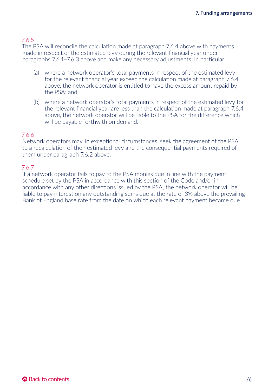# 7.6.5

The PSA will reconcile the calculation made at paragraph 7.6.4 above with payments made in respect of the estimated levy during the relevant financial year under paragraphs 7.6.1–7.6.3 above and make any necessary adjustments. In particular:

- (a) where a network operator's total payments in respect of the estimated levy for the relevant financial year exceed the calculation made at paragraph 7.6.4 above, the network operator is entitled to have the excess amount repaid by the PSA; and
- (b) where a network operator's total payments in respect of the estimated levy for the relevant financial year are less than the calculation made at paragraph 7.6.4 above, the network operator will be liable to the PSA for the difference which will be payable forthwith on demand.

#### 7.6.6

Network operators may, in exceptional circumstances, seek the agreement of the PSA to a recalculation of their estimated levy and the consequential payments required of them under paragraph 7.6.2 above.

#### 7.6.7

If a network operator fails to pay to the PSA monies due in line with the payment schedule set by the PSA in accordance with this section of the Code and/or in accordance with any other directions issued by the PSA, the network operator will be liable to pay interest on any outstanding sums due at the rate of 3% above the prevailing Bank of England base rate from the date on which each relevant payment became due.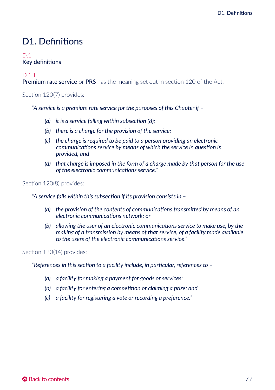# D1. Definitions

# $D<sub>1</sub>$ Key definitions

#### D.1.1

**Premium rate service** or **PRS** has the meaning set out in section 120 of the Act.

Section 120(7) provides:

"*A service is a premium rate service for the purposes of this Chapter if –* 

- *(a) it is a service falling within subsection (8);*
- *(b) there is a charge for the provision of the service;*
- *(c) the charge is required to be paid to a person providing an electronic communications service by means of which the service in question is provided; and*
- *(d) that charge is imposed in the form of a charge made by that person for the use of the electronic communications service.*"

#### Section 120(8) provides:

"*A service falls within this subsection if its provision consists in –*

- *(a) the provision of the contents of communications transmitted by means of an electronic communications network; or*
- *(b) allowing the user of an electronic communications service to make use, by the making of a transmission by means of that service, of a facility made available to the users of the electronic communications service*."

Section 120(14) provides:

"*References in this section to a facility include, in particular, references to –*

- *(a) a facility for making a payment for goods or services;*
- *(b) a facility for entering a competition or claiming a prize; and*
- *(c) a facility for registering a vote or recording a preference.*"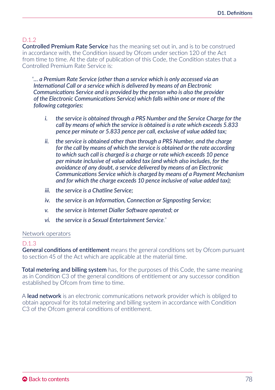# D.1.2

Controlled Premium Rate Service has the meaning set out in, and is to be construed in accordance with, the Condition issued by Ofcom under section 120 of the Act from time to time. At the date of publication of this Code, the Condition states that a Controlled Premium Rate Service is:

"*… a Premium Rate Service (other than a service which is only accessed via an International Call or a service which is delivered by means of an Electronic Communications Service and is provided by the person who is also the provider of the Electronic Communications Service) which falls within one or more of the following categories:* 

- *i. the service is obtained through a PRS Number and the Service Charge for the call by means of which the service is obtained is a rate which exceeds 5.833 pence per minute or 5.833 pence per call, exclusive of value added tax;*
- *ii. the service is obtained other than through a PRS Number, and the charge for the call by means of which the service is obtained or the rate according to which such call is charged is a charge or rate which exceeds 10 pence per minute inclusive of value added tax (and which also includes, for the avoidance of any doubt, a service delivered by means of an Electronic Communications Service which is charged by means of a Payment Mechanism and for which the charge exceeds 10 pence inclusive of value added tax);*
- *iii. the service is a Chatline Service;*
- *iv. the service is an Information, Connection or Signposting Service;*
- *v. the service is Internet Dialler Software operated; or*
- *vi. the service is a Sexual Entertainment Service*."

#### Network operators

#### D.1.3

General conditions of entitlement means the general conditions set by Ofcom pursuant to section 45 of the Act which are applicable at the material time.

Total metering and billing system has, for the purposes of this Code, the same meaning as in Condition C3 of the general conditions of entitlement or any successor condition established by Ofcom from time to time.

A **lead network** is an electronic communications network provider which is obliged to obtain approval for its total metering and billing system in accordance with Condition C3 of the Ofcom general conditions of entitlement.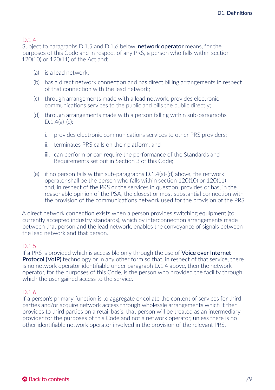# D.1.4

Subject to paragraphs D.1.5 and D.1.6 below, **network operator** means, for the purposes of this Code and in respect of any PRS, a person who falls within section 120(10) or 120(11) of the Act and:

- (a) is a lead network;
- (b) has a direct network connection and has direct billing arrangements in respect of that connection with the lead network;
- (c) through arrangements made with a lead network, provides electronic communications services to the public and bills the public directly;
- (d) through arrangements made with a person falling within sub-paragraphs D.1.4(a)-(c):
	- i. provides electronic communications services to other PRS providers;
	- ii. terminates PRS calls on their platform; and
	- iii. can perform or can require the performance of the Standards and Requirements set out in Section 3 of this Code;
- (e) if no person falls within sub-paragraphs D.1.4(a)-(d) above, the network operator shall be the person who falls within section 120(10) or 120(11) and, in respect of the PRS or the services in question, provides or has, in the reasonable opinion of the PSA, the closest or most substantial connection with the provision of the communications network used for the provision of the PRS.

A direct network connection exists when a person provides switching equipment (to currently accepted industry standards), which by interconnection arrangements made between that person and the lead network, enables the conveyance of signals between the lead network and that person.

# D.1.5

If a PRS is provided which is accessible only through the use of **Voice over Internet** Protocol (VoIP) technology or in any other form so that, in respect of that service, there is no network operator identifiable under paragraph D.1.4 above, then the network operator, for the purposes of this Code, is the person who provided the facility through which the user gained access to the service.

# D.1.6

If a person's primary function is to aggregate or collate the content of services for third parties and/or acquire network access through wholesale arrangements which it then provides to third parties on a retail basis, that person will be treated as an intermediary provider for the purposes of this Code and not a network operator, unless there is no other identifiable network operator involved in the provision of the relevant PRS.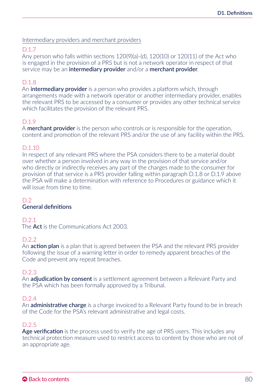Intermediary providers and merchant providers

# D.1.7

Any person who falls within sections 120(9)(a)-(d), 120(10) or 120(11) of the Act who is engaged in the provision of a PRS but is not a network operator in respect of that service may be an intermediary provider and/or a merchant provider.

# D.1.8

An **intermediary provider** is a person who provides a platform which, through arrangements made with a network operator or another intermediary provider, enables the relevant PRS to be accessed by a consumer or provides any other technical service which facilitates the provision of the relevant PRS.

# D.1.9

A **merchant provider** is the person who controls or is responsible for the operation, content and promotion of the relevant PRS and/or the use of any facility within the PRS.

#### D.1.10

In respect of any relevant PRS where the PSA considers there to be a material doubt over whether a person involved in any way in the provision of that service and/or who directly or indirectly receives any part of the charges made to the consumer for provision of that service is a PRS provider falling within paragraph D.1.8 or D.1.9 above the PSA will make a determination with reference to Procedures or guidance which it will issue from time to time.

#### $D.2$

# General definitions

D.2.1

The Act is the Communications Act 2003.

#### $D.2.2$

An **action plan** is a plan that is agreed between the PSA and the relevant PRS provider following the issue of a warning letter in order to remedy apparent breaches of the Code and prevent any repeat breaches.

#### D.2.3

An **adjudication by consent** is a settlement agreement between a Relevant Party and the PSA which has been formally approved by a Tribunal.

#### D.2.4

An **administrative charge** is a charge invoiced to a Relevant Party found to be in breach of the Code for the PSA's relevant administrative and legal costs.

#### D.2.5

Age verification is the process used to verify the age of PRS users. This includes any technical protection measure used to restrict access to content by those who are not of an appropriate age.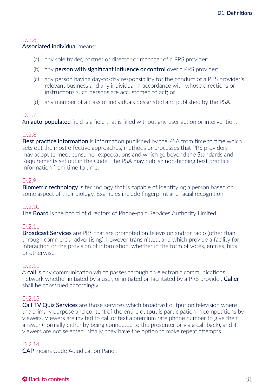#### Associated individual means:

- (a) any sole trader, partner or director or manager of a PRS provider;
- (b) any **person with significant influence or control** over a PRS provider;
- (c) any person having day-to-day responsibility for the conduct of a PRS provider's relevant business and any individual in accordance with whose directions or instructions such persons are accustomed to act; or
- (d) any member of a class of individuals designated and published by the PSA.

# D.2.7

An **auto-populated** field is a field that is filled without any user action or intervention.

# D.2.8

**Best practice information** is information published by the PSA from time to time which sets out the most effective approaches, methods or processes that PRS providers may adopt to meet consumer expectations and which go beyond the Standards and Requirements set out in the Code. The PSA may publish non-binding best practice information from time to time.

# D.2.9

**Biometric technology** is technology that is capable of identifying a person based on some aspect of their biology. Examples include fingerprint and facial recognition.

#### D.2.10

The **Board** is the board of directors of Phone-paid Services Authority Limited.

# D.2.11

Broadcast Services are PRS that are promoted on television and/or radio (other than through commercial advertising), however transmitted, and which provide a facility for interaction or the provision of information, whether in the form of votes, entries, bids or otherwise.

# D.2.12

A call is any communication which passes through an electronic communications network whether initiated by a user, or initiated or facilitated by a PRS provider. Caller shall be construed accordingly.

# D.2.13

Call TV Quiz Services are those services which broadcast output on television where the primary purpose and content of the entire output is participation in competitions by viewers. Viewers are invited to call or text a premium rate phone number to give their answer (normally either by being connected to the presenter or via a call-back), and if viewers are not selected initially, they have the option to make repeat attempts.

# D.2.14

CAP means Code Adjudication Panel.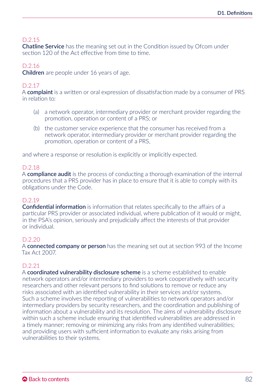**Chatline Service** has the meaning set out in the Condition issued by Ofcom under section 120 of the Act effective from time to time.

# D.2.16

Children are people under 16 years of age.

# D.2.17

A complaint is a written or oral expression of dissatisfaction made by a consumer of PRS in relation to:

- (a) a network operator, intermediary provider or merchant provider regarding the promotion, operation or content of a PRS; or
- (b) the customer service experience that the consumer has received from a network operator, intermediary provider or merchant provider regarding the promotion, operation or content of a PRS,

and where a response or resolution is explicitly or implicitly expected.

# D.2.18

A **compliance audit** is the process of conducting a thorough examination of the internal procedures that a PRS provider has in place to ensure that it is able to comply with its obligations under the Code.

#### D.2.19

Confidential information is information that relates specifically to the affairs of a particular PRS provider or associated individual, where publication of it would or might, in the PSA's opinion, seriously and prejudicially affect the interests of that provider or individual.

# D.2.20

A connected company or person has the meaning set out at section 993 of the Income Tax Act 2007.

#### D.2.21

A **coordinated vulnerability disclosure scheme** is a scheme established to enable network operators and/or intermediary providers to work cooperatively with security researchers and other relevant persons to find solutions to remove or reduce any risks associated with an identified vulnerability in their services and/or systems. Such a scheme involves the reporting of vulnerabilities to network operators and/or intermediary providers by security researchers, and the coordination and publishing of information about a vulnerability and its resolution. The aims of vulnerability disclosure within such a scheme include ensuring that identified vulnerabilities are addressed in a timely manner; removing or minimizing any risks from any identified vulnerabilities; and providing users with sufficient information to evaluate any risks arising from vulnerabilities to their systems.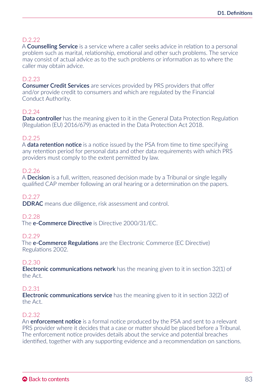A **Counselling Service** is a service where a caller seeks advice in relation to a personal problem such as marital, relationship, emotional and other such problems. The service may consist of actual advice as to the such problems or information as to where the caller may obtain advice.

# D.2.23

Consumer Credit Services are services provided by PRS providers that offer and/or provide credit to consumers and which are regulated by the Financial Conduct Authority.

#### D.2.24

Data controller has the meaning given to it in the General Data Protection Regulation (Regulation (EU) 2016/679) as enacted in the Data Protection Act 2018.

#### D.2.25

A **data retention notice** is a notice issued by the PSA from time to time specifying any retention period for personal data and other data requirements with which PRS providers must comply to the extent permitted by law.

#### D.2.26

A **Decision** is a full, written, reasoned decision made by a Tribunal or single legally qualified CAP member following an oral hearing or a determination on the papers.

#### D.2.27

DDRAC means due diligence, risk assessment and control.

#### $D.2.28$

The **e-Commerce Directive** is Directive 2000/31/FC.

#### D.2.29

The **e-Commerce Regulations** are the Electronic Commerce (EC Directive) Regulations 2002.

#### D.2.30

Electronic communications network has the meaning given to it in section 32(1) of the Act.

#### D.2.31

Electronic communications service has the meaning given to it in section 32(2) of the Act.

#### D.2.32

An enforcement notice is a formal notice produced by the PSA and sent to a relevant PRS provider where it decides that a case or matter should be placed before a Tribunal. The enforcement notice provides details about the service and potential breaches identified, together with any supporting evidence and a recommendation on sanctions.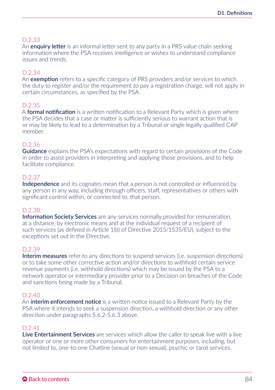An **enquiry letter** is an informal letter sent to any party in a PRS value chain seeking information where the PSA receives intelligence or wishes to understand compliance issues and trends.

#### D.2.34

An **exemption** refers to a specific category of PRS providers and/or services to which the duty to register and/or the requirement to pay a registration charge, will not apply in certain circumstances, as specified by the PSA.

#### D.2.35

A **formal notification** is a written notification to a Relevant Party which is given where the PSA decides that a case or matter is sufficiently serious to warrant action that is or may be likely to lead to a determination by a Tribunal or single legally qualified CAP member.

#### D.2.36

Guidance explains the PSA's expectations with regard to certain provisions of the Code in order to assist providers in interpreting and applying those provisions, and to help facilitate compliance.

#### D.2.37

Independence and its cognates mean that a person is not controlled or influenced by any person in any way, including through officers, staff, representatives or others with significant control within, or connected to, that person.

#### D.2.38

Information Society Services are any services normally provided for remuneration, at a distance, by electronic means and at the individual request of a recipient of such services (as defined in Article 1(b) of Directive 2015/1535/EU), subject to the exceptions set out in the Directive.

#### D.2.39

Interim measures refer to any directions to suspend services (i.e. suspension directions) or to take some other corrective action and/or directions to withhold certain service revenue payments (i.e. withhold directions) which may be issued by the PSA to a network operator or intermediary provider prior to a Decision on breaches of the Code and sanctions being made by a Tribunal.

#### D.2.40

An **interim enforcement notice** is a written notice issued to a Relevant Party by the PSA where it intends to seek a suspension direction, a withhold direction or any other direction under paragraphs 5.6.2-5.6.3 above.

#### $D.241$

Live Entertainment Services are services which allow the caller to speak live with a live operator or one or more other consumers for entertainment purposes, including, but not limited to, one-to-one Chatline (sexual or non-sexual), psychic or tarot services.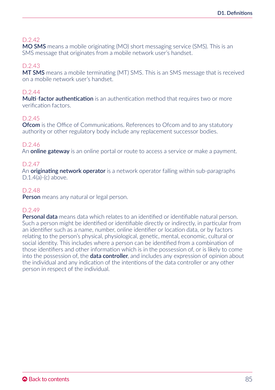MO SMS means a mobile originating (MO) short messaging service (SMS). This is an SMS message that originates from a mobile network user's handset.

#### D.2.43

MT SMS means a mobile terminating (MT) SMS. This is an SMS message that is received on a mobile network user's handset.

# D.244

Multi-factor authentication is an authentication method that requires two or more verification factors.

# D.2.45

**Ofcom** is the Office of Communications. References to Ofcom and to any statutory authority or other regulatory body include any replacement successor bodies.

# D.2.46

An **online gateway** is an online portal or route to access a service or make a payment.

# D.2.47

An **originating network operator** is a network operator falling within sub-paragraphs D.1.4(a)-(c) above.

#### D.2.48

Person means any natural or legal person.

# D.2.49

Personal data means data which relates to an identified or identifiable natural person. Such a person might be identified or identifiable directly or indirectly, in particular from an identifier such as a name, number, online identifier or location data, or by factors relating to the person's physical, physiological, genetic, mental, economic, cultural or social identity. This includes where a person can be identified from a combination of those identifiers and other information which is in the possession of, or is likely to come into the possession of, the **data controller**, and includes any expression of opinion about the individual and any indication of the intentions of the data controller or any other person in respect of the individual.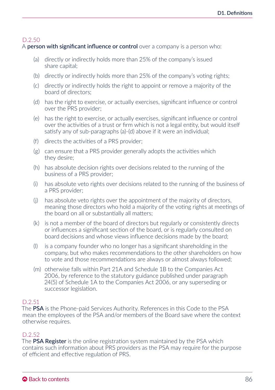A **person with significant influence or control** over a company is a person who:

- (a) directly or indirectly holds more than 25% of the company's issued share capital;
- (b) directly or indirectly holds more than 25% of the company's voting rights;
- (c) directly or indirectly holds the right to appoint or remove a majority of the board of directors;
- (d) has the right to exercise, or actually exercises, significant influence or control over the PRS provider;
- (e) has the right to exercise, or actually exercises, significant influence or control over the activities of a trust or firm which is not a legal entity, but would itself satisfy any of sub-paragraphs (a)-(d) above if it were an individual;
- (f) directs the activities of a PRS provider;
- (g) can ensure that a PRS provider generally adopts the activities which they desire;
- (h) has absolute decision rights over decisions related to the running of the business of a PRS provider;
- (i) has absolute veto rights over decisions related to the running of the business of a PRS provider;
- (j) has absolute veto rights over the appointment of the majority of directors, meaning those directors who hold a majority of the voting rights at meetings of the board on all or substantially all matters;
- (k) is not a member of the board of directors but regularly or consistently directs or influences a significant section of the board, or is regularly consulted on board decisions and whose views influence decisions made by the board;
- (l) is a company founder who no longer has a significant shareholding in the company, but who makes recommendations to the other shareholders on how to vote and those recommendations are always or almost always followed;
- (m) otherwise falls within Part 21A and Schedule 1B to the Companies Act 2006, by reference to the statutory guidance published under paragraph 24(5) of Schedule 1A to the Companies Act 2006, or any superseding or successor legislation.

# D.2.51

The PSA is the Phone-paid Services Authority. References in this Code to the PSA mean the employees of the PSA and/or members of the Board save where the context otherwise requires.

# D.2.52

The **PSA Register** is the online registration system maintained by the PSA which contains such information about PRS providers as the PSA may require for the purpose of efficient and effective regulation of PRS.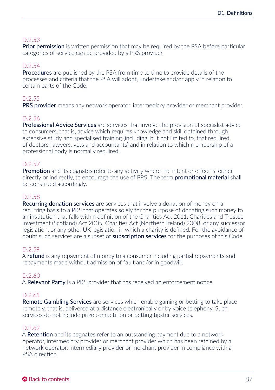**Prior permission** is written permission that may be required by the PSA before particular categories of service can be provided by a PRS provider.

# D.2.54

**Procedures** are published by the PSA from time to time to provide details of the processes and criteria that the PSA will adopt, undertake and/or apply in relation to certain parts of the Code.

# D.2.55

PRS provider means any network operator, intermediary provider or merchant provider.

# D.2.56

Professional Advice Services are services that involve the provision of specialist advice to consumers, that is, advice which requires knowledge and skill obtained through extensive study and specialised training (including, but not limited to, that required of doctors, lawyers, vets and accountants) and in relation to which membership of a professional body is normally required.

#### D.2.57

Promotion and its cognates refer to any activity where the intent or effect is, either directly or indirectly, to encourage the use of PRS. The term **promotional material** shall be construed accordingly.

#### D.2.58

**Recurring donation services** are services that involve a donation of money on a recurring basis to a PRS that operates solely for the purpose of donating such money to an institution that falls within definition of the Charities Act 2011, Charities and Trustee Investment (Scotland) Act 2005, Charities Act (Northern Ireland) 2008, or any successor legislation, or any other UK legislation in which a charity is defined. For the avoidance of doubt such services are a subset of **subscription services** for the purposes of this Code.

#### D.2.59

A refund is any repayment of money to a consumer including partial repayments and repayments made without admission of fault and/or in goodwill.

#### D.2.60

A Relevant Party is a PRS provider that has received an enforcement notice.

#### D.2.61

Remote Gambling Services are services which enable gaming or betting to take place remotely, that is, delivered at a distance electronically or by voice telephony. Such services do not include prize competition or betting tipster services.

#### D.2.62

A Retention and its cognates refer to an outstanding payment due to a network operator, intermediary provider or merchant provider which has been retained by a network operator, intermediary provider or merchant provider in compliance with a PSA direction.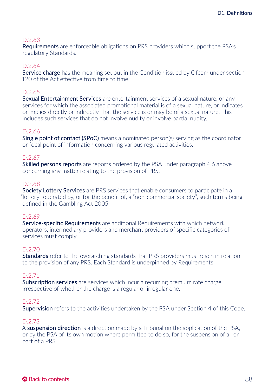**Requirements** are enforceable obligations on PRS providers which support the PSA's regulatory Standards.

#### D.2.64

Service charge has the meaning set out in the Condition issued by Ofcom under section 120 of the Act effective from time to time.

#### D.2.65

Sexual Entertainment Services are entertainment services of a sexual nature, or any services for which the associated promotional material is of a sexual nature, or indicates or implies directly or indirectly, that the service is or may be of a sexual nature. This includes such services that do not involve nudity or involve partial nudity.

#### D.2.66

Single point of contact (SPoC) means a nominated person(s) serving as the coordinator or focal point of information concerning various regulated activities.

#### D.2.67

**Skilled persons reports** are reports ordered by the PSA under paragraph 4.6 above concerning any matter relating to the provision of PRS.

#### D.2.68

Society Lottery Services are PRS services that enable consumers to participate in a "lottery" operated by, or for the benefit of, a "non-commercial society", such terms being defined in the Gambling Act 2005.

#### D.2.69

**Service-specific Requirements** are additional Requirements with which network operators, intermediary providers and merchant providers of specific categories of services must comply.

#### D.2.70

**Standards** refer to the overarching standards that PRS providers must reach in relation to the provision of any PRS. Each Standard is underpinned by Requirements.

#### D.2.71

Subscription services are services which incur a recurring premium rate charge, irrespective of whether the charge is a regular or irregular one.

#### D.2.72

Supervision refers to the activities undertaken by the PSA under Section 4 of this Code.

#### D.2.73

A **suspension direction** is a direction made by a Tribunal on the application of the PSA, or by the PSA of its own motion where permitted to do so, for the suspension of all or part of a PRS.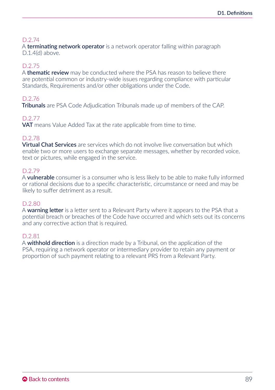A **terminating network operator** is a network operator falling within paragraph D.1.4(d) above.

#### D.2.75

A **thematic review** may be conducted where the PSA has reason to believe there are potential common or industry-wide issues regarding compliance with particular Standards, Requirements and/or other obligations under the Code.

#### D.2.76

Tribunals are PSA Code Adjudication Tribunals made up of members of the CAP.

#### D.2.77

**VAT** means Value Added Tax at the rate applicable from time to time.

# D.2.78

**Virtual Chat Services** are services which do not involve live conversation but which enable two or more users to exchange separate messages, whether by recorded voice, text or pictures, while engaged in the service.

#### D.2.79

A **vulnerable** consumer is a consumer who is less likely to be able to make fully informed or rational decisions due to a specific characteristic, circumstance or need and may be likely to suffer detriment as a result.

#### D.2.80

A warning letter is a letter sent to a Relevant Party where it appears to the PSA that a potential breach or breaches of the Code have occurred and which sets out its concerns and any corrective action that is required.

#### D.2.81

A **withhold direction** is a direction made by a Tribunal, on the application of the PSA, requiring a network operator or intermediary provider to retain any payment or proportion of such payment relating to a relevant PRS from a Relevant Party.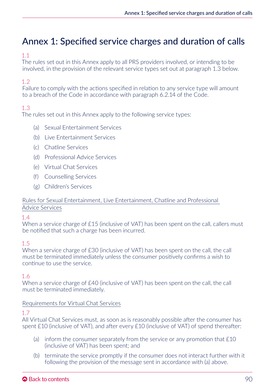# Annex 1: Specified service charges and duration of calls

# 1.1

The rules set out in this Annex apply to all PRS providers involved, or intending to be involved, in the provision of the relevant service types set out at paragraph 1.3 below.

# 1.2

Failure to comply with the actions specified in relation to any service type will amount to a breach of the Code in accordance with paragraph 6.2.14 of the Code.

# 1.3

The rules set out in this Annex apply to the following service types:

- (a) Sexual Entertainment Services
- (b) Live Entertainment Services
- (c) Chatline Services
- (d) Professional Advice Services
- (e) Virtual Chat Services
- (f) Counselling Services
- (g) Children's Services

# Rules for Sexual Entertainment, Live Entertainment, Chatline and Professional Advice Services

#### $14$

When a service charge of £15 (inclusive of VAT) has been spent on the call, callers must be notified that such a charge has been incurred.

# 1.5

When a service charge of £30 (inclusive of VAT) has been spent on the call, the call must be terminated immediately unless the consumer positively confirms a wish to continue to use the service.

# 1.6

When a service charge of £40 (inclusive of VAT) has been spent on the call, the call must be terminated immediately.

#### Requirements for Virtual Chat Services

#### 1.7

All Virtual Chat Services must, as soon as is reasonably possible after the consumer has spent £10 (inclusive of VAT), and after every £10 (inclusive of VAT) of spend thereafter:

- (a) inform the consumer separately from the service or any promotion that  $£10$ (inclusive of VAT) has been spent; and
- (b) terminate the service promptly if the consumer does not interact further with it following the provision of the message sent in accordance with (a) above.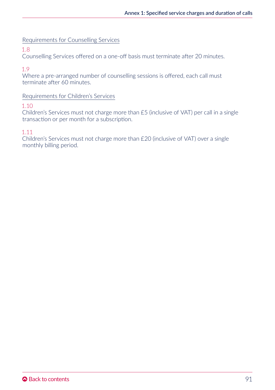# Requirements for Counselling Services

# 1.8

Counselling Services offered on a one-off basis must terminate after 20 minutes.

# 1.9

Where a pre-arranged number of counselling sessions is offered, each call must terminate after 60 minutes.

# Requirements for Children's Services

#### 1.10

Children's Services must not charge more than £5 (inclusive of VAT) per call in a single transaction or per month for a subscription.

# 1.11

Children's Services must not charge more than £20 (inclusive of VAT) over a single monthly billing period.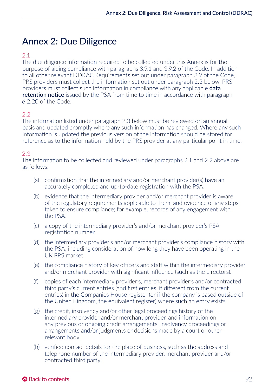# Annex 2: Due Diligence

# 2.1

The due diligence information required to be collected under this Annex is for the purpose of aiding compliance with paragraphs 3.9.1 and 3.9.2 of the Code. In addition to all other relevant DDRAC Requirements set out under paragraph 3.9 of the Code, PRS providers must collect the information set out under paragraph 2.3 below. PRS providers must collect such information in compliance with any applicable data retention notice issued by the PSA from time to time in accordance with paragraph 6.2.20 of the Code.

# $2.2$

The information listed under paragraph 2.3 below must be reviewed on an annual basis and updated promptly where any such information has changed. Where any such information is updated the previous version of the information should be stored for reference as to the information held by the PRS provider at any particular point in time.

# 2.3

The information to be collected and reviewed under paragraphs 2.1 and 2.2 above are as follows:

- (a) confirmation that the intermediary and/or merchant provider(s) have an accurately completed and up-to-date registration with the PSA.
- (b) evidence that the intermediary provider and/or merchant provider is aware of the regulatory requirements applicable to them, and evidence of any steps taken to ensure compliance; for example, records of any engagement with the PSA.
- (c) a copy of the intermediary provider's and/or merchant provider's PSA registration number.
- (d) the intermediary provider's and/or merchant provider's compliance history with the PSA, including consideration of how long they have been operating in the UK PRS market.
- (e) the compliance history of key officers and staff within the intermediary provider and/or merchant provider with significant influence (such as the directors).
- (f) copies of each intermediary provider's, merchant provider's and/or contracted third party's current entries (and first entries, if different from the current entries) in the Companies House register (or if the company is based outside of the United Kingdom, the equivalent register) where such an entry exists.
- (g) the credit, insolvency and/or other legal proceedings history of the intermediary provider and/or merchant provider, and information on any previous or ongoing credit arrangements, insolvency proceedings or arrangements and/or judgments or decisions made by a court or other relevant body.
- (h) verified contact details for the place of business, such as the address and telephone number of the intermediary provider, merchant provider and/or contracted third party.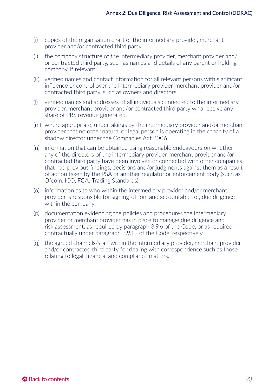- (i) copies of the organisation chart of the intermediary provider, merchant provider and/or contracted third party.
- (j) the company structure of the intermediary provider, merchant provider and/ or contracted third party, such as names and details of any parent or holding company, if relevant.
- (k) verified names and contact information for all relevant persons with significant influence or control over the intermediary provider, merchant provider and/or contracted third party, such as owners and directors.
- (l) verified names and addresses of all individuals connected to the intermediary provider, merchant provider and/or contracted third party who receive any share of PRS revenue generated.
- (m) where appropriate, undertakings by the intermediary provider and/or merchant provider that no other natural or legal person is operating in the capacity of a shadow director under the Companies Act 2006.
- (n) information that can be obtained using reasonable endeavours on whether any of the directors of the intermediary provider, merchant provider and/or contracted third party have been involved or connected with other companies that had previous findings, decisions and/or judgments against them as a result of action taken by the PSA or another regulator or enforcement body (such as Ofcom, ICO, FCA, Trading Standards).
- (o) information as to who within the intermediary provider and/or merchant provider is responsible for signing-off on, and accountable for, due diligence within the company.
- (p) documentation evidencing the policies and procedures the intermediary provider or merchant provider has in place to manage due diligence and risk assessment, as required by paragraph 3.9.6 of the Code, or as required contractually under paragraph 3.9.12 of the Code, respectively.
- (q) the agreed channels/staff within the intermediary provider, merchant provider and/or contracted third party for dealing with correspondence such as those relating to legal, financial and compliance matters.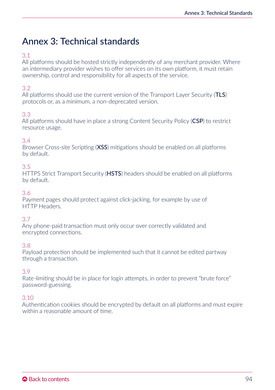# Annex 3: Technical standards

# 3.1

All platforms should be hosted strictly independently of any merchant provider. Where an intermediary provider wishes to offer services on its own platform, it must retain ownership, control and responsibility for all aspects of the service.

# 3.2

All platforms should use the current version of the Transport Layer Security (TLS) protocols or, as a minimum, a non-deprecated version.

# 3.3

All platforms should have in place a strong Content Security Policy (CSP) to restrict resource usage.

# 3.4

Browser Cross-site Scripting (XSS) mitigations should be enabled on all platforms by default.

# 3.5

HTTPS Strict Transport Security (HSTS) headers should be enabled on all platforms by default.

# 3.6

Payment pages should protect against click-jacking, for example by use of HTTP Headers.

# 3.7

Any phone-paid transaction must only occur over correctly validated and encrypted connections.

# 3.8

Payload protection should be implemented such that it cannot be edited partway through a transaction.

# 3.9

Rate-limiting should be in place for login attempts, in order to prevent "brute force" password-guessing.

# 3.10

Authentication cookies should be encrypted by default on all platforms and must expire within a reasonable amount of time.